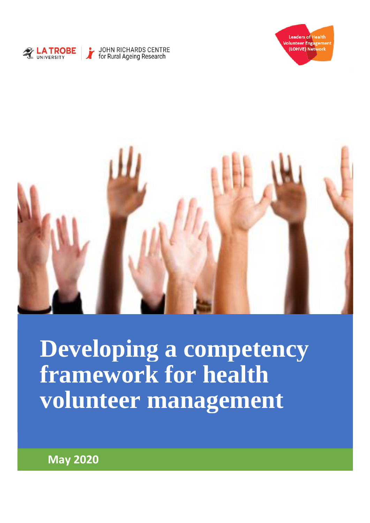





**Developing a competency framework for health volunteer management**

**May 2020**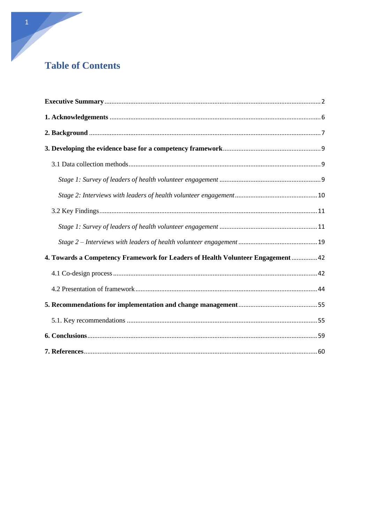# **Table of Contents**

| 4. Towards a Competency Framework for Leaders of Health Volunteer Engagement  42 |  |
|----------------------------------------------------------------------------------|--|
|                                                                                  |  |
|                                                                                  |  |
|                                                                                  |  |
|                                                                                  |  |
|                                                                                  |  |
|                                                                                  |  |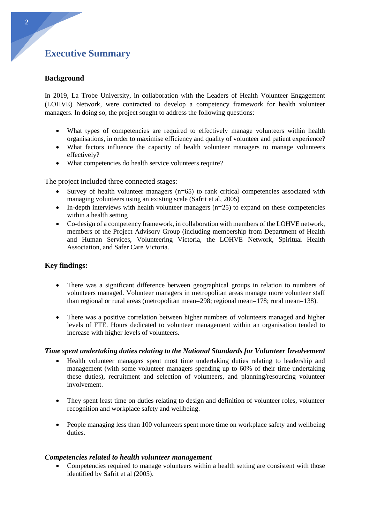# <span id="page-2-0"></span>**Executive Summary**

## **Background**

In 2019, La Trobe University, in collaboration with the Leaders of Health Volunteer Engagement (LOHVE) Network, were contracted to develop a competency framework for health volunteer managers. In doing so, the project sought to address the following questions:

- What types of competencies are required to effectively manage volunteers within health organisations, in order to maximise efficiency and quality of volunteer and patient experience?
- What factors influence the capacity of health volunteer managers to manage volunteers effectively?
- What competencies do health service volunteers require?

The project included three connected stages:

- Survey of health volunteer managers (n=65) to rank critical competencies associated with managing volunteers using an existing scale (Safrit et al, 2005)
- In-depth interviews with health volunteer managers  $(n=25)$  to expand on these competencies within a health setting
- Co-design of a competency framework, in collaboration with members of the LOHVE network, members of the Project Advisory Group (including membership from Department of Health and Human Services, Volunteering Victoria, the LOHVE Network, Spiritual Health Association, and Safer Care Victoria.

### **Key findings:**

- There was a significant difference between geographical groups in relation to numbers of volunteers managed. Volunteer managers in metropolitan areas manage more volunteer staff than regional or rural areas (metropolitan mean=298; regional mean=178; rural mean=138).
- There was a positive correlation between higher numbers of volunteers managed and higher levels of FTE. Hours dedicated to volunteer management within an organisation tended to increase with higher levels of volunteers.

#### *Time spent undertaking duties relating to the National Standards for Volunteer Involvement*

- Health volunteer managers spent most time undertaking duties relating to leadership and management (with some volunteer managers spending up to 60% of their time undertaking these duties), recruitment and selection of volunteers, and planning/resourcing volunteer involvement.
- They spent least time on duties relating to design and definition of volunteer roles, volunteer recognition and workplace safety and wellbeing.
- People managing less than 100 volunteers spent more time on workplace safety and wellbeing duties.

#### *Competencies related to health volunteer management*

• Competencies required to manage volunteers within a health setting are consistent with those identified by Safrit et al (2005).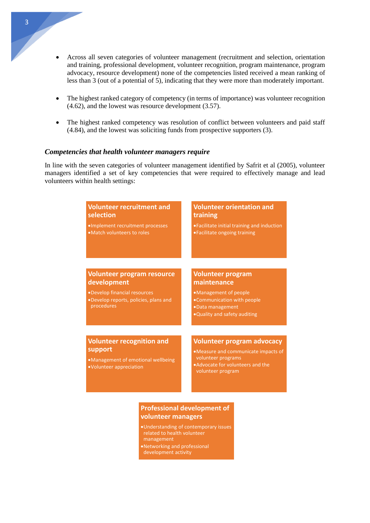- Across all seven categories of volunteer management (recruitment and selection, orientation and training, professional development, volunteer recognition, program maintenance, program advocacy, resource development) none of the competencies listed received a mean ranking of less than 3 (out of a potential of 5), indicating that they were more than moderately important.
- The highest ranked category of competency (in terms of importance) was volunteer recognition (4.62), and the lowest was resource development (3.57).
- The highest ranked competency was resolution of conflict between volunteers and paid staff (4.84), and the lowest was soliciting funds from prospective supporters (3).

#### *Competencies that health volunteer managers require*

In line with the seven categories of volunteer management identified by Safrit et al (2005), volunteer managers identified a set of key competencies that were required to effectively manage and lead volunteers within health settings:

#### **Volunteer recruitment and selection**  •Implement recruitment processes •Match volunteers to roles **Volunteer orientation and training** •Facilitate initial training and induction •Facilitate ongoing training **Volunteer program resource development**  •Develop financial resources •Develop reports, policies, plans and procedures **Volunteer program maintenance**  •Management of people •Communication with people •Data management •Quality and safety auditing **Volunteer recognition and support** •Management of emotional wellbeing •Volunteer appreciation **Volunteer program advocacy**  •Measure and communicate impacts of volunteer programs •Advocate for volunteers and the volunteer program

### **Professional development of volunteer managers**

- •Understanding of contemporary issues related to health volunteer management •Networking and professional
- development activity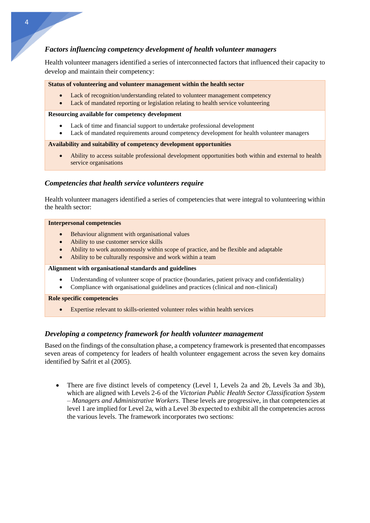## *Factors influencing competency development of health volunteer managers*

Health volunteer managers identified a series of interconnected factors that influenced their capacity to develop and maintain their competency:

#### **Status of volunteering and volunteer management within the health sector**

- Lack of recognition/understanding related to volunteer management competency
- Lack of mandated reporting or legislation relating to health service volunteering

#### **Resourcing available for competency development**

- Lack of time and financial support to undertake professional development
- Lack of mandated requirements around competency development for health volunteer managers

#### **Availability and suitability of competency development opportunities**

• Ability to access suitable professional development opportunities both within and external to health service organisations

### *Competencies that health service volunteers require*

Health volunteer managers identified a series of competencies that were integral to volunteering within the health sector:

#### **Interpersonal competencies**

- Behaviour alignment with organisational values
- Ability to use customer service skills
- Ability to work autonomously within scope of practice, and be flexible and adaptable
- Ability to be culturally responsive and work within a team

#### **Alignment with organisational standards and guidelines**

- Understanding of volunteer scope of practice (boundaries, patient privacy and confidentiality)
- Compliance with organisational guidelines and practices (clinical and non-clinical)

#### **Role specific competencies**

• Expertise relevant to skills-oriented volunteer roles within health services

## *Developing a competency framework for health volunteer management*

Based on the findings of the consultation phase, a competency framework is presented that encompasses seven areas of competency for leaders of health volunteer engagement across the seven key domains identified by Safrit et al (2005).

• There are five distinct levels of competency (Level 1, Levels 2a and 2b, Levels 3a and 3b), which are aligned with Levels 2-6 of the *Victorian Public Health Sector Classification System – Managers and Administrative Workers*. These levels are progressive, in that competencies at level 1 are implied for Level 2a, with a Level 3b expected to exhibit all the competencies across the various levels. The framework incorporates two sections: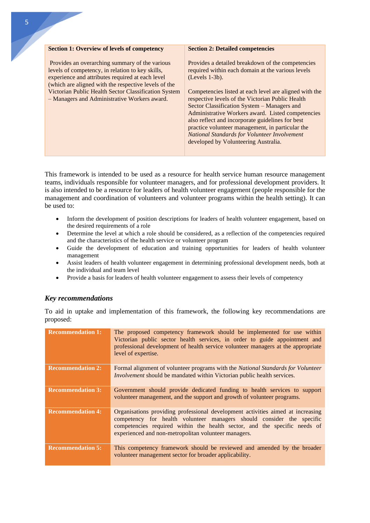| <b>Section 1: Overview of levels of competency</b>                                                                                                                                                                                                                                                                     | <b>Section 2: Detailed competencies</b>                                                                                                                                                                                                                                                                                                                                                                                                                                                                                                      |
|------------------------------------------------------------------------------------------------------------------------------------------------------------------------------------------------------------------------------------------------------------------------------------------------------------------------|----------------------------------------------------------------------------------------------------------------------------------------------------------------------------------------------------------------------------------------------------------------------------------------------------------------------------------------------------------------------------------------------------------------------------------------------------------------------------------------------------------------------------------------------|
| Provides an overarching summary of the various<br>levels of competency, in relation to key skills,<br>experience and attributes required at each level<br>(which are aligned with the respective levels of the<br>Victorian Public Health Sector Classification System<br>- Managers and Administrative Workers award. | Provides a detailed breakdown of the competencies<br>required within each domain at the various levels<br>$(Levels 1-3b).$<br>Competencies listed at each level are aligned with the<br>respective levels of the Victorian Public Health<br>Sector Classification System – Managers and<br>Administrative Workers award. Listed competencies<br>also reflect and incorporate guidelines for best<br>practice volunteer management, in particular the<br>National Standards for Volunteer Involvement<br>developed by Volunteering Australia. |

This framework is intended to be used as a resource for health service human resource management teams, individuals responsible for volunteer managers, and for professional development providers. It is also intended to be a resource for leaders of health volunteer engagement (people responsible for the management and coordination of volunteers and volunteer programs within the health setting). It can be used to:

- Inform the development of position descriptions for leaders of health volunteer engagement, based on the desired requirements of a role
- Determine the level at which a role should be considered, as a reflection of the competencies required and the characteristics of the health service or volunteer program
- Guide the development of education and training opportunities for leaders of health volunteer management
- Assist leaders of health volunteer engagement in determining professional development needs, both at the individual and team level
- Provide a basis for leaders of health volunteer engagement to assess their levels of competency

## *Key recommendations*

To aid in uptake and implementation of this framework, the following key recommendations are proposed:

| <b>Recommendation 1:</b> | The proposed competency framework should be implemented for use within<br>Victorian public sector health services, in order to guide appointment and<br>professional development of health service volunteer managers at the appropriate<br>level of expertise.                               |
|--------------------------|-----------------------------------------------------------------------------------------------------------------------------------------------------------------------------------------------------------------------------------------------------------------------------------------------|
| <b>Recommendation 2:</b> | Formal alignment of volunteer programs with the <i>National Standards for Volunteer</i><br><i>Involvement</i> should be mandated within Victorian public health services.                                                                                                                     |
| <b>Recommendation 3:</b> | Government should provide dedicated funding to health services to support<br>volunteer management, and the support and growth of volunteer programs.                                                                                                                                          |
| <b>Recommendation 4:</b> | Organisations providing professional development activities aimed at increasing<br>competency for health volunteer managers should consider the specific<br>competencies required within the health sector, and the specific needs of<br>experienced and non-metropolitan volunteer managers. |
| <b>Recommendation 5:</b> | This competency framework should be reviewed and amended by the broader<br>volunteer management sector for broader applicability.                                                                                                                                                             |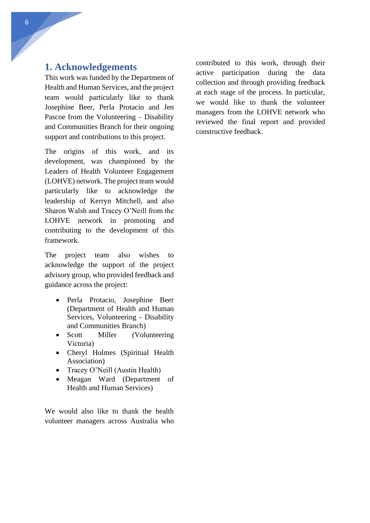## <span id="page-6-0"></span>**1. Acknowledgements**

This work was funded by the Department of Health and Human Services, and the project team would particularly like to thank Josephine Beer, Perla Protacio and Jen Pascoe from the Volunteering – Disability and Communities Branch for their ongoing support and contributions to this project.

The origins of this work, and its development, was championed by the Leaders of Health Volunteer Engagement (LOHVE) network. The project team would particularly like to acknowledge the leadership of Kerryn Mitchell, and also Sharon Walsh and Tracey O'Neill from the LOHVE network in promoting and contributing to the development of this framework.

The project team also wishes to acknowledge the support of the project advisory group, who provided feedback and guidance across the project:

- Perla Protacio, Josephine Beer (Department of Health and Human Services, Volunteering - Disability and Communities Branch)
- Scott Miller (Volunteering Victoria)
- Cheryl Holmes (Spiritual Health Association)
- Tracey O'Neill (Austin Health)
- Meagan Ward (Department of Health and Human Services)

We would also like to thank the health volunteer managers across Australia who contributed to this work, through their active participation during the data collection and through providing feedback at each stage of the process. In particular, we would like to thank the volunteer managers from the LOHVE network who reviewed the final report and provided constructive feedback.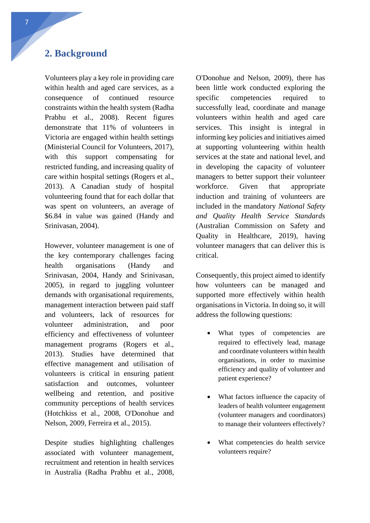## <span id="page-7-0"></span>**2. Background**

Volunteers play a key role in providing care within health and aged care services, as a consequence of continued resource constraints within the health system (Radha Prabhu et al., 2008). Recent figures demonstrate that 11% of volunteers in Victoria are engaged within health settings (Ministerial Council for Volunteers, 2017), with this support compensating for restricted funding, and increasing quality of care within hospital settings (Rogers et al., 2013). A Canadian study of hospital volunteering found that for each dollar that was spent on volunteers, an average of \$6.84 in value was gained (Handy and Srinivasan, 2004).

However, volunteer management is one of the key contemporary challenges facing health organisations (Handy and Srinivasan, 2004, Handy and Srinivasan, 2005), in regard to juggling volunteer demands with organisational requirements, management interaction between paid staff and volunteers, lack of resources for volunteer administration, and poor efficiency and effectiveness of volunteer management programs (Rogers et al., 2013). Studies have determined that effective management and utilisation of volunteers is critical in ensuring patient satisfaction and outcomes, volunteer wellbeing and retention, and positive community perceptions of health services (Hotchkiss et al., 2008, O'Donohue and Nelson, 2009, Ferreira et al., 2015).

Despite studies highlighting challenges associated with volunteer management, recruitment and retention in health services in Australia (Radha Prabhu et al., 2008, O'Donohue and Nelson, 2009), there has been little work conducted exploring the specific competencies required to successfully lead, coordinate and manage volunteers within health and aged care services. This insight is integral in informing key policies and initiatives aimed at supporting volunteering within health services at the state and national level, and in developing the capacity of volunteer managers to better support their volunteer workforce. Given that appropriate induction and training of volunteers are included in the mandatory *National Safety and Quality Health Service Standards* (Australian Commission on Safety and Quality in Healthcare, 2019), having volunteer managers that can deliver this is critical.

Consequently, this project aimed to identify how volunteers can be managed and supported more effectively within health organisations in Victoria. In doing so, it will address the following questions:

- What types of competencies are required to effectively lead, manage and coordinate volunteers within health organisations, in order to maximise efficiency and quality of volunteer and patient experience?
- What factors influence the capacity of leaders of health volunteer engagement (volunteer managers and coordinators) to manage their volunteers effectively?
- What competencies do health service volunteers require?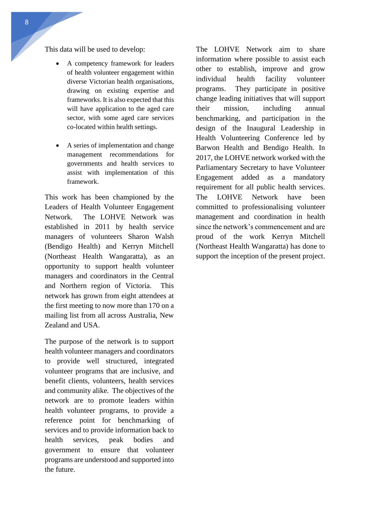This data will be used to develop:

- A competency framework for leaders of health volunteer engagement within diverse Victorian health organisations, drawing on existing expertise and frameworks. It is also expected that this will have application to the aged care sector, with some aged care services co-located within health settings.
- A series of implementation and change management recommendations for governments and health services to assist with implementation of this framework.

This work has been championed by the Leaders of Health Volunteer Engagement Network. The LOHVE Network was established in 2011 by health service managers of volunteers Sharon Walsh (Bendigo Health) and Kerryn Mitchell (Northeast Health Wangaratta), as an opportunity to support health volunteer managers and coordinators in the Central and Northern region of Victoria. This network has grown from eight attendees at the first meeting to now more than 170 on a mailing list from all across Australia, New Zealand and USA.

The purpose of the network is to support health volunteer managers and coordinators to provide well structured, integrated volunteer programs that are inclusive, and benefit clients, volunteers, health services and community alike. The objectives of the network are to promote leaders within health volunteer programs, to provide a reference point for benchmarking of services and to provide information back to health services, peak bodies and government to ensure that volunteer programs are understood and supported into the future.

The LOHVE Network aim to share information where possible to assist each other to establish, improve and grow individual health facility volunteer programs. They participate in positive change leading initiatives that will support their mission, including annual benchmarking, and participation in the design of the Inaugural Leadership in Health Volunteering Conference led by Barwon Health and Bendigo Health. In 2017, the LOHVE network worked with the Parliamentary Secretary to have Volunteer Engagement added as a mandatory requirement for all public health services. The LOHVE Network have been committed to professionalising volunteer management and coordination in health since the network's commencement and are proud of the work Kerryn Mitchell (Northeast Health Wangaratta) has done to support the inception of the present project.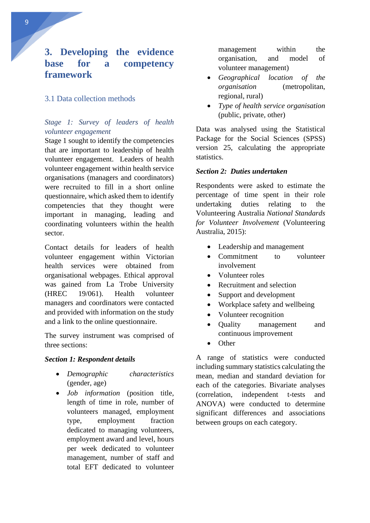# <span id="page-9-0"></span>**3. Developing the evidence base for a competency framework**

## <span id="page-9-1"></span>3.1 Data collection methods

## <span id="page-9-2"></span>*Stage 1: Survey of leaders of health volunteer engagement*

Stage 1 sought to identify the competencies that are important to leadership of health volunteer engagement. Leaders of health volunteer engagement within health service organisations (managers and coordinators) were recruited to fill in a short online questionnaire, which asked them to identify competencies that they thought were important in managing, leading and coordinating volunteers within the health sector.

Contact details for leaders of health volunteer engagement within Victorian health services were obtained from organisational webpages. Ethical approval was gained from La Trobe University (HREC 19/061). Health volunteer managers and coordinators were contacted and provided with information on the study and a link to the online questionnaire.

The survey instrument was comprised of three sections:

#### *Section 1: Respondent details*

- *Demographic characteristics* (gender, age)
- *Job information* (position title, length of time in role, number of volunteers managed, employment type, employment fraction dedicated to managing volunteers, employment award and level, hours per week dedicated to volunteer management, number of staff and total EFT dedicated to volunteer

management within the organisation, and model of volunteer management)

- *Geographical location of the organisation* (metropolitan, regional, rural)
- *Type of health service organisation* (public, private, other)

Data was analysed using the Statistical Package for the Social Sciences (SPSS) version 25, calculating the appropriate statistics.

### *Section 2: Duties undertaken*

Respondents were asked to estimate the percentage of time spent in their role undertaking duties relating to the Volunteering Australia *National Standards for Volunteer Involvement* (Volunteering Australia, 2015):

- Leadership and management
- Commitment to volunteer involvement
- Volunteer roles
- Recruitment and selection
- Support and development
- Workplace safety and wellbeing
- Volunteer recognition
- Quality management and continuous improvement
- Other

A range of statistics were conducted including summary statistics calculating the mean, median and standard deviation for each of the categories. Bivariate analyses (correlation, independent t-tests and ANOVA) were conducted to determine significant differences and associations between groups on each category.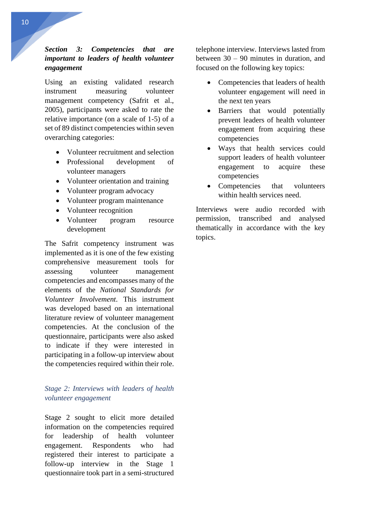## *Section 3: Competencies that are important to leaders of health volunteer engagement*

Using an existing validated research instrument measuring volunteer management competency (Safrit et al., 2005), participants were asked to rate the relative importance (on a scale of 1-5) of a set of 89 distinct competencies within seven overarching categories:

- Volunteer recruitment and selection
- Professional development of volunteer managers
- Volunteer orientation and training
- Volunteer program advocacy
- Volunteer program maintenance
- Volunteer recognition
- Volunteer program resource development

The Safrit competency instrument was implemented as it is one of the few existing comprehensive measurement tools for assessing volunteer management competencies and encompasses many of the elements of the *National Standards for Volunteer Involvement*. This instrument was developed based on an international literature review of volunteer management competencies. At the conclusion of the questionnaire, participants were also asked to indicate if they were interested in participating in a follow-up interview about the competencies required within their role.

## <span id="page-10-0"></span>*Stage 2: Interviews with leaders of health volunteer engagement*

Stage 2 sought to elicit more detailed information on the competencies required for leadership of health volunteer engagement. Respondents who had registered their interest to participate a follow-up interview in the Stage 1 questionnaire took part in a semi-structured telephone interview. Interviews lasted from between 30 – 90 minutes in duration, and focused on the following key topics:

- Competencies that leaders of health volunteer engagement will need in the next ten years
- Barriers that would potentially prevent leaders of health volunteer engagement from acquiring these competencies
- Ways that health services could support leaders of health volunteer engagement to acquire these competencies
- Competencies that volunteers within health services need.

Interviews were audio recorded with permission, transcribed and analysed thematically in accordance with the key topics.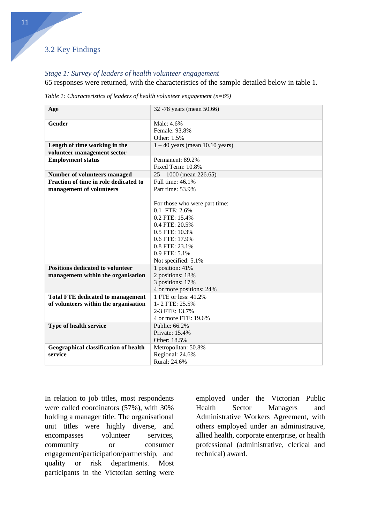## <span id="page-11-0"></span>3.2 Key Findings

## <span id="page-11-1"></span>*Stage 1: Survey of leaders of health volunteer engagement*

65 responses were returned, with the characteristics of the sample detailed below in table 1.

| Table 1: Characteristics of leaders of health volunteer engagement ( $n=65$ ) |  |  |  |
|-------------------------------------------------------------------------------|--|--|--|
|-------------------------------------------------------------------------------|--|--|--|

| Age                                      | 32 -78 years (mean 50.66)         |  |  |  |  |
|------------------------------------------|-----------------------------------|--|--|--|--|
| Gender                                   | Male: 4.6%                        |  |  |  |  |
|                                          | Female: 93.8%                     |  |  |  |  |
|                                          | Other: 1.5%                       |  |  |  |  |
| Length of time working in the            | $1 - 40$ years (mean 10.10 years) |  |  |  |  |
| volunteer management sector              |                                   |  |  |  |  |
| <b>Employment status</b>                 | Permanent: 89.2%                  |  |  |  |  |
|                                          | Fixed Term: 10.8%                 |  |  |  |  |
| <b>Number of volunteers managed</b>      | $25 - 1000$ (mean 226.65)         |  |  |  |  |
| Fraction of time in role dedicated to    | Full time: 46.1%                  |  |  |  |  |
| management of volunteers                 | Part time: 53.9%                  |  |  |  |  |
|                                          |                                   |  |  |  |  |
|                                          | For those who were part time:     |  |  |  |  |
|                                          | 0.1 FTE: 2.6%                     |  |  |  |  |
|                                          | 0.2 FTE: 15.4%                    |  |  |  |  |
|                                          | 0.4 FTE: 20.5%                    |  |  |  |  |
|                                          | 0.5 FTE: 10.3%                    |  |  |  |  |
|                                          | 0.6 FTE: 17.9%                    |  |  |  |  |
|                                          | 0.8 FTE: 23.1%                    |  |  |  |  |
|                                          | 0.9 FTE: 5.1%                     |  |  |  |  |
|                                          | Not specified: 5.1%               |  |  |  |  |
| <b>Positions dedicated to volunteer</b>  | 1 position: 41%                   |  |  |  |  |
| management within the organisation       | 2 positions: 18%                  |  |  |  |  |
|                                          | 3 positions: 17%                  |  |  |  |  |
|                                          | 4 or more positions: 24%          |  |  |  |  |
| <b>Total FTE dedicated to management</b> | 1 FTE or less: 41.2%              |  |  |  |  |
| of volunteers within the organisation    | 1-2 FTE: 25.5%                    |  |  |  |  |
|                                          | 2-3 FTE: 13.7%                    |  |  |  |  |
|                                          | 4 or more FTE: 19.6%              |  |  |  |  |
| Type of health service                   | Public: 66.2%                     |  |  |  |  |
|                                          | Private: 15.4%                    |  |  |  |  |
|                                          | Other: 18.5%                      |  |  |  |  |
| Geographical classification of health    | Metropolitan: 50.8%               |  |  |  |  |
| service                                  | Regional: 24.6%<br>Rural: 24.6%   |  |  |  |  |
|                                          |                                   |  |  |  |  |

In relation to job titles, most respondents were called coordinators (57%), with 30% holding a manager title. The organisational unit titles were highly diverse, and encompasses volunteer services, community or consumer engagement/participation/partnership, and quality or risk departments. Most participants in the Victorian setting were

employed under the Victorian Public Health Sector Managers and Administrative Workers Agreement, with others employed under an administrative, allied health, corporate enterprise, or health professional (administrative, clerical and technical) award.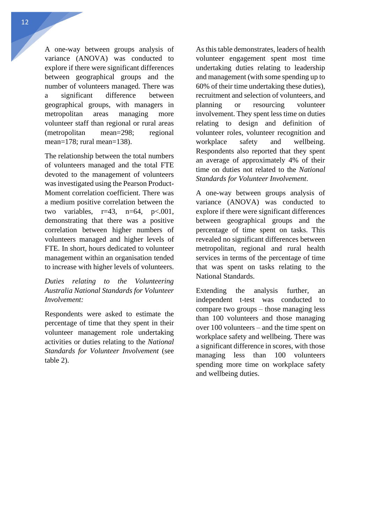A one-way between groups analysis of variance (ANOVA) was conducted to explore if there were significant differences between geographical groups and the number of volunteers managed. There was a significant difference between geographical groups, with managers in metropolitan areas managing more volunteer staff than regional or rural areas (metropolitan mean=298; regional mean=178; rural mean=138).

The relationship between the total numbers of volunteers managed and the total FTE devoted to the management of volunteers was investigated using the Pearson Product-Moment correlation coefficient. There was a medium positive correlation between the two variables,  $r=43$ ,  $n=64$ ,  $p<.001$ , demonstrating that there was a positive correlation between higher numbers of volunteers managed and higher levels of FTE. In short, hours dedicated to volunteer management within an organisation tended to increase with higher levels of volunteers.

*Duties relating to the Volunteering Australia National Standards for Volunteer Involvement:*

Respondents were asked to estimate the percentage of time that they spent in their volunteer management role undertaking activities or duties relating to the *National Standards for Volunteer Involvement* (see table 2).

As this table demonstrates, leaders of health volunteer engagement spent most time undertaking duties relating to leadership and management (with some spending up to 60% of their time undertaking these duties), recruitment and selection of volunteers, and planning or resourcing volunteer involvement. They spent less time on duties relating to design and definition of volunteer roles, volunteer recognition and workplace safety and wellbeing. Respondents also reported that they spent an average of approximately 4% of their time on duties not related to the *National Standards for Volunteer Involvement*.

A one-way between groups analysis of variance (ANOVA) was conducted to explore if there were significant differences between geographical groups and the percentage of time spent on tasks. This revealed no significant differences between metropolitan, regional and rural health services in terms of the percentage of time that was spent on tasks relating to the National Standards.

Extending the analysis further, an independent t-test was conducted to compare two groups – those managing less than 100 volunteers and those managing over 100 volunteers – and the time spent on workplace safety and wellbeing. There was a significant difference in scores, with those managing less than 100 volunteers spending more time on workplace safety and wellbeing duties.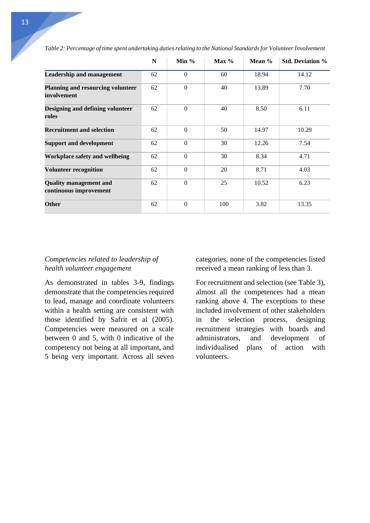|                                                         | N  | Min $%$  | $Max\%$ | Mean $%$ | <b>Std. Deviation %</b> |
|---------------------------------------------------------|----|----------|---------|----------|-------------------------|
| <b>Leadership and management</b>                        | 62 | $\Omega$ | 60      | 18.94    | 14.12                   |
| Planning and resourcing volunteer<br>involvement        | 62 | $\Omega$ | 40      | 13.89    | 7.70                    |
| Designing and defining volunteer<br>roles               | 62 | $\Omega$ | 40      | 8.50     | 6.11                    |
| <b>Recruitment and selection</b>                        | 62 | $\Omega$ | 50      | 14.97    | 10.29                   |
| <b>Support and development</b>                          | 62 | $\Omega$ | 30      | 12.26    | 7.54                    |
| Workplace safety and wellbeing                          | 62 | $\Omega$ | 30      | 8.34     | 4.71                    |
| <b>Volunteer recognition</b>                            | 62 | $\Omega$ | 20      | 8.71     | 4.03                    |
| <b>Quality management and</b><br>continuous improvement | 62 | $\Omega$ | 25      | 10.52    | 6.23                    |
| <b>Other</b>                                            | 62 | $\Omega$ | 100     | 3.82     | 13.35                   |

*Table 2: Percentage of time spent undertaking duties relating to the National Standards for Volunteer Involvement*

## *Competencies related to leadership of health volunteer engagement*

As demonstrated in tables 3-9, findings demonstrate that the competencies required to lead, manage and coordinate volunteers within a health setting are consistent with those identified by Safrit et al (2005). Competencies were measured on a scale between 0 and 5, with 0 indicative of the competency not being at all important, and 5 being very important. Across all seven categories, none of the competencies listed received a mean ranking of less than 3.

For recruitment and selection (see Table 3), almost all the competences had a mean ranking above 4. The exceptions to these included involvement of other stakeholders in the selection process, designing recruitment strategies with boards and administrators, and development of individualised plans of action with volunteers.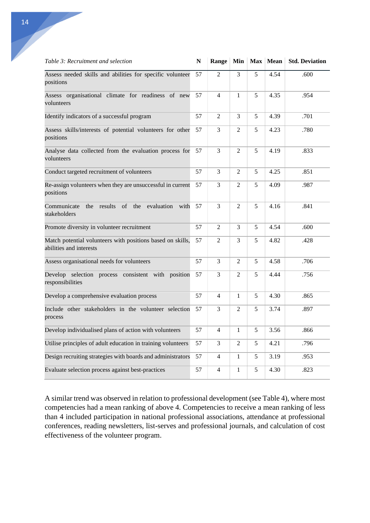| Table 3: Recruitment and selection                                                     | N  | <b>Range</b>   |                |   | Min   Max   Mean | <b>Std. Deviation</b> |
|----------------------------------------------------------------------------------------|----|----------------|----------------|---|------------------|-----------------------|
| Assess needed skills and abilities for specific volunteer<br>positions                 | 57 | $\mathfrak{D}$ | 3              | 5 | 4.54             | .600                  |
| Assess organisational climate for readiness of new<br>volunteers                       | 57 | $\overline{4}$ | $\mathbf{1}$   | 5 | 4.35             | .954                  |
| Identify indicators of a successful program                                            | 57 | 2              | 3              | 5 | 4.39             | .701                  |
| Assess skills/interests of potential volunteers for other<br>positions                 | 57 | 3              | $\overline{2}$ | 5 | 4.23             | .780                  |
| Analyse data collected from the evaluation process for<br>volunteers                   | 57 | 3              | $\overline{2}$ | 5 | 4.19             | .833                  |
| Conduct targeted recruitment of volunteers                                             | 57 | 3              | $\overline{2}$ | 5 | 4.25             | .851                  |
| Re-assign volunteers when they are unsuccessful in current<br>positions                | 57 | 3              | 2              | 5 | 4.09             | .987                  |
| results<br>$\sigma$<br>the<br>evaluation<br>with<br>Communicate<br>the<br>stakeholders | 57 | 3              | $\overline{2}$ | 5 | 4.16             | .841                  |
| Promote diversity in volunteer recruitment                                             | 57 | 2              | 3              | 5 | 4.54             | .600                  |
| Match potential volunteers with positions based on skills,<br>abilities and interests  | 57 | 2              | 3              | 5 | 4.82             | .428                  |
| Assess organisational needs for volunteers                                             | 57 | $\overline{3}$ | 2              | 5 | 4.58             | .706                  |
| Develop selection process consistent with position<br>responsibilities                 | 57 | 3              | $\overline{2}$ | 5 | 4.44             | .756                  |
| Develop a comprehensive evaluation process                                             | 57 | $\overline{4}$ | $\mathbf{1}$   | 5 | 4.30             | .865                  |
| Include other stakeholders in the volunteer selection<br>process                       | 57 | 3              | 2              | 5 | 3.74             | .897                  |
| Develop individualised plans of action with volunteers                                 | 57 | $\overline{4}$ | $\mathbf{1}$   | 5 | 3.56             | .866                  |
| Utilise principles of adult education in training volunteers                           | 57 | 3              | $\overline{2}$ | 5 | 4.21             | .796                  |
| Design recruiting strategies with boards and administrators                            | 57 | $\overline{4}$ | $\mathbf{1}$   | 5 | 3.19             | .953                  |
| Evaluate selection process against best-practices                                      | 57 | $\overline{4}$ | $\mathbf{1}$   | 5 | 4.30             | .823                  |

A similar trend was observed in relation to professional development (see Table 4), where most competencies had a mean ranking of above 4. Competencies to receive a mean ranking of less than 4 included participation in national professional associations, attendance at professional conferences, reading newsletters, list-serves and professional journals, and calculation of cost effectiveness of the volunteer program.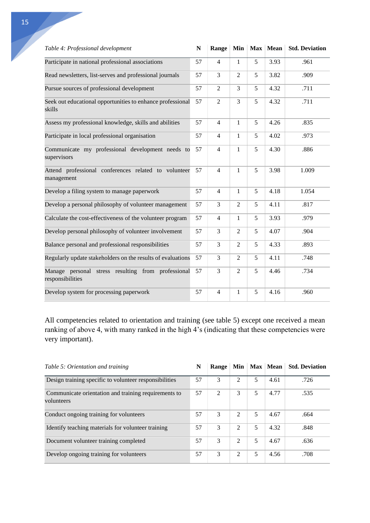| Table 4: Professional development                                      | $\mathbb N$ | Range          | Min            |   | Max Mean | <b>Std. Deviation</b> |
|------------------------------------------------------------------------|-------------|----------------|----------------|---|----------|-----------------------|
| Participate in national professional associations                      | 57          | $\overline{4}$ | $\mathbf{1}$   | 5 | 3.93     | .961                  |
| Read newsletters, list-serves and professional journals                | 57          | 3              | $\overline{2}$ | 5 | 3.82     | .909                  |
| Pursue sources of professional development                             | 57          | $\overline{2}$ | 3              | 5 | 4.32     | .711                  |
| Seek out educational opportunities to enhance professional<br>skills   | 57          | $\overline{2}$ | 3              | 5 | 4.32     | .711                  |
| Assess my professional knowledge, skills and abilities                 | 57          | $\overline{4}$ | $\mathbf{1}$   | 5 | 4.26     | .835                  |
| Participate in local professional organisation                         | 57          | $\overline{4}$ | $\mathbf{1}$   | 5 | 4.02     | .973                  |
| Communicate my professional development needs to<br>supervisors        | 57          | $\overline{4}$ | $\mathbf{1}$   | 5 | 4.30     | .886                  |
| Attend professional conferences related to volunteer<br>management     | 57          | $\overline{4}$ | $\mathbf{1}$   | 5 | 3.98     | 1.009                 |
| Develop a filing system to manage paperwork                            | 57          | $\overline{4}$ | $\mathbf{1}$   | 5 | 4.18     | 1.054                 |
| Develop a personal philosophy of volunteer management                  | 57          | 3              | $\overline{2}$ | 5 | 4.11     | .817                  |
| Calculate the cost-effectiveness of the volunteer program              | 57          | $\overline{4}$ | $\mathbf{1}$   | 5 | 3.93     | .979                  |
| Develop personal philosophy of volunteer involvement                   | 57          | 3              | $\overline{2}$ | 5 | 4.07     | .904                  |
| Balance personal and professional responsibilities                     | 57          | 3              | $\overline{2}$ | 5 | 4.33     | .893                  |
| Regularly update stakeholders on the results of evaluations            | 57          | 3              | $\overline{2}$ | 5 | 4.11     | .748                  |
| Manage personal stress resulting from professional<br>responsibilities | 57          | 3              | $\overline{2}$ | 5 | 4.46     | .734                  |
| Develop system for processing paperwork                                | 57          | $\overline{4}$ | 1              | 5 | 4.16     | .960                  |

All competencies related to orientation and training (see table 5) except one received a mean ranking of above 4, with many ranked in the high 4's (indicating that these competencies were very important).

| Table 5: Orientation and training                                  | N  | Range |               |   | Min   Max   Mean | <b>Std. Deviation</b> |
|--------------------------------------------------------------------|----|-------|---------------|---|------------------|-----------------------|
| Design training specific to volunteer responsibilities             | 57 | 3     | 2             | 5 | 4.61             | .726                  |
| Communicate orientation and training requirements to<br>volunteers | 57 | 2     | 3             | 5 | 4.77             | .535                  |
| Conduct ongoing training for volunteers                            | 57 | 3     | $\mathcal{D}$ | 5 | 4.67             | .664                  |
| Identify teaching materials for volunteer training                 | 57 | 3     | $\mathcal{D}$ | 5 | 4.32             | .848                  |
| Document volunteer training completed                              | 57 | 3     | $\mathcal{D}$ | 5 | 4.67             | .636                  |
| Develop ongoing training for volunteers                            | 57 | 3     | 2             | 5 | 4.56             | .708                  |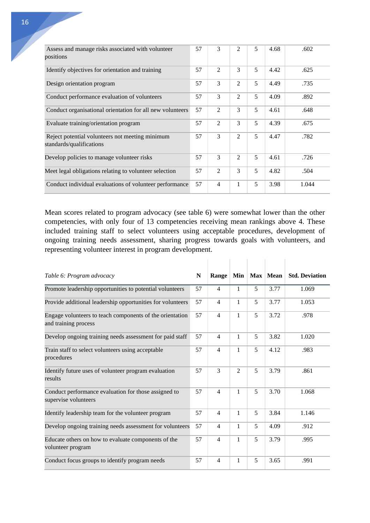| Assess and manage risks associated with volunteer<br>positions              | 57 | 3              | $\mathfrak{D}$ | 5 | 4.68 | .602  |
|-----------------------------------------------------------------------------|----|----------------|----------------|---|------|-------|
| Identify objectives for orientation and training                            | 57 | 2              | 3              | 5 | 4.42 | .625  |
| Design orientation program                                                  | 57 | 3              | $\overline{2}$ | 5 | 4.49 | .735  |
| Conduct performance evaluation of volunteers                                | 57 | 3              | $\overline{2}$ | 5 | 4.09 | .892  |
| Conduct organisational orientation for all new volunteers                   | 57 | $\overline{2}$ | 3              | 5 | 4.61 | .648  |
| Evaluate training/orientation program                                       | 57 | 2              | 3              | 5 | 4.39 | .675  |
| Reject potential volunteers not meeting minimum<br>standards/qualifications | 57 | 3              | $\overline{2}$ | 5 | 4.47 | .782  |
| Develop policies to manage volunteer risks                                  | 57 | 3              | $\overline{2}$ | 5 | 4.61 | .726  |
| Meet legal obligations relating to volunteer selection                      | 57 | 2              | 3              | 5 | 4.82 | .504  |
| Conduct individual evaluations of volunteer performance                     | 57 | $\overline{4}$ | 1              | 5 | 3.98 | 1.044 |

Mean scores related to program advocacy (see table 6) were somewhat lower than the other competencies, with only four of 13 competencies receiving mean rankings above 4. These included training staff to select volunteers using acceptable procedures, development of ongoing training needs assessment, sharing progress towards goals with volunteers, and representing volunteer interest in program development.

| Table 6: Program advocacy                                                        | N  | Range          | Min            |   | Max Mean | <b>Std. Deviation</b> |
|----------------------------------------------------------------------------------|----|----------------|----------------|---|----------|-----------------------|
| Promote leadership opportunities to potential volunteers                         | 57 | $\overline{4}$ | 1              | 5 | 3.77     | 1.069                 |
| Provide additional leadership opportunities for volunteers                       | 57 | $\overline{4}$ | 1              | 5 | 3.77     | 1.053                 |
| Engage volunteers to teach components of the orientation<br>and training process | 57 | $\overline{4}$ | 1              | 5 | 3.72     | .978                  |
| Develop ongoing training needs assessment for paid staff                         | 57 | $\overline{4}$ | 1              | 5 | 3.82     | 1.020                 |
| Train staff to select volunteers using acceptable<br>procedures                  | 57 | $\overline{4}$ | $\mathbf{1}$   | 5 | 4.12     | .983                  |
| Identify future uses of volunteer program evaluation<br>results                  | 57 | 3              | $\overline{2}$ | 5 | 3.79     | .861                  |
| Conduct performance evaluation for those assigned to<br>supervise volunteers     | 57 | $\overline{4}$ | 1              | 5 | 3.70     | 1.068                 |
| Identify leadership team for the volunteer program                               | 57 | $\overline{4}$ | 1              | 5 | 3.84     | 1.146                 |
| Develop ongoing training needs assessment for volunteers                         | 57 | 4              | 1              | 5 | 4.09     | .912                  |
| Educate others on how to evaluate components of the<br>volunteer program         | 57 | 4              | 1              | 5 | 3.79     | .995                  |
| Conduct focus groups to identify program needs                                   | 57 | $\overline{4}$ | 1              | 5 | 3.65     | .991                  |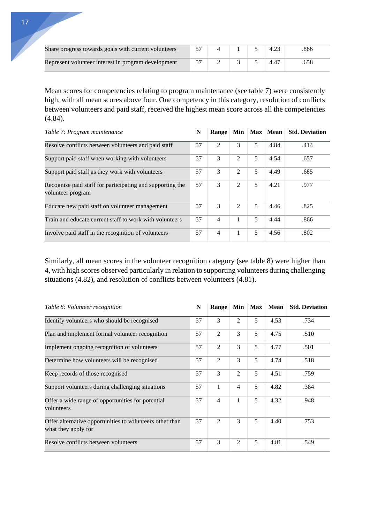| Share progress towards goals with current volunteers |  |  | 866 |
|------------------------------------------------------|--|--|-----|
| Represent volunteer interest in program development  |  |  |     |

Mean scores for competencies relating to program maintenance (see table 7) were consistently high, with all mean scores above four. One competency in this category, resolution of conflicts between volunteers and paid staff, received the highest mean score across all the competencies (4.84).

| Table 7: Program maintenance                                                   | N  | Range          |                |   | Min Max Mean | <b>Std. Deviation</b> |
|--------------------------------------------------------------------------------|----|----------------|----------------|---|--------------|-----------------------|
| Resolve conflicts between volunteers and paid staff                            | 57 | 2              | 3              | 5 | 4.84         | .414                  |
| Support paid staff when working with volunteers                                | 57 | 3              | 2              | 5 | 4.54         | .657                  |
| Support paid staff as they work with volunteers                                | 57 | 3              | 2              | 5 | 4.49         | .685                  |
| Recognise paid staff for participating and supporting the<br>volunteer program | 57 | 3              | $\overline{2}$ | 5 | 4.21         | .977                  |
| Educate new paid staff on volunteer management                                 | 57 | 3              | $\mathfrak{D}$ | 5 | 4.46         | .825                  |
| Train and educate current staff to work with volunteers                        | 57 | $\overline{4}$ | 1              | 5 | 4.44         | .866                  |
| Involve paid staff in the recognition of volunteers                            | 57 | 4              |                | 5 | 4.56         | .802                  |

Similarly, all mean scores in the volunteer recognition category (see table 8) were higher than 4, with high scores observed particularly in relation to supporting volunteers during challenging situations (4.82), and resolution of conflicts between volunteers (4.81).

| Table 8: Volunteer recognition                                                  | N  | <b>Range</b>   |                | Min Max | <b>Mean</b> | <b>Std. Deviation</b> |
|---------------------------------------------------------------------------------|----|----------------|----------------|---------|-------------|-----------------------|
| Identify volunteers who should be recognised                                    | 57 | 3              | $\overline{2}$ | 5       | 4.53        | .734                  |
| Plan and implement formal volunteer recognition                                 | 57 | $\overline{2}$ | 3              | 5       | 4.75        | .510                  |
| Implement ongoing recognition of volunteers                                     | 57 | 2              | 3              | 5       | 4.77        | .501                  |
| Determine how volunteers will be recognised                                     | 57 | $\overline{2}$ | 3              | 5       | 4.74        | .518                  |
| Keep records of those recognised                                                | 57 | 3              | 2              | 5       | 4.51        | .759                  |
| Support volunteers during challenging situations                                | 57 | 1              | 4              | 5       | 4.82        | .384                  |
| Offer a wide range of opportunities for potential<br>volunteers                 |    | $\overline{4}$ | 1              | 5       | 4.32        | .948                  |
| Offer alternative opportunities to volunteers other than<br>what they apply for | 57 | 2              | 3              | 5       | 4.40        | .753                  |
| Resolve conflicts between volunteers                                            | 57 | 3              | $\overline{2}$ | 5       | 4.81        | .549                  |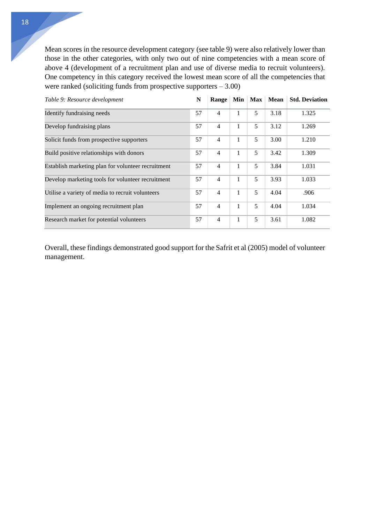Mean scores in the resource development category (see table 9) were also relatively lower than those in the other categories, with only two out of nine competencies with a mean score of above 4 (development of a recruitment plan and use of diverse media to recruit volunteers). One competency in this category received the lowest mean score of all the competencies that were ranked (soliciting funds from prospective supporters  $-3.00$ )

| Table 9: Resource development                      | N  | Range          |   |   | Min   Max   Mean | <b>Std. Deviation</b> |
|----------------------------------------------------|----|----------------|---|---|------------------|-----------------------|
| Identify fundraising needs                         | 57 | $\overline{4}$ |   | 5 | 3.18             | 1.325                 |
| Develop fundraising plans                          | 57 | $\overline{4}$ | 1 | 5 | 3.12             | 1.269                 |
| Solicit funds from prospective supporters          | 57 | $\overline{4}$ | 1 | 5 | 3.00             | 1.210                 |
| Build positive relationships with donors           | 57 | $\overline{4}$ | 1 | 5 | 3.42             | 1.309                 |
| Establish marketing plan for volunteer recruitment | 57 | $\overline{4}$ | 1 | 5 | 3.84             | 1.031                 |
| Develop marketing tools for volunteer recruitment  |    | $\overline{4}$ | 1 | 5 | 3.93             | 1.033                 |
| Utilise a variety of media to recruit volunteers   |    | $\overline{4}$ | 1 | 5 | 4.04             | .906                  |
| Implement an ongoing recruitment plan              |    | $\overline{4}$ | 1 | 5 | 4.04             | 1.034                 |
| Research market for potential volunteers           | 57 | $\overline{4}$ | 1 | 5 | 3.61             | 1.082                 |

Overall, these findings demonstrated good support for the Safrit et al (2005) model of volunteer management.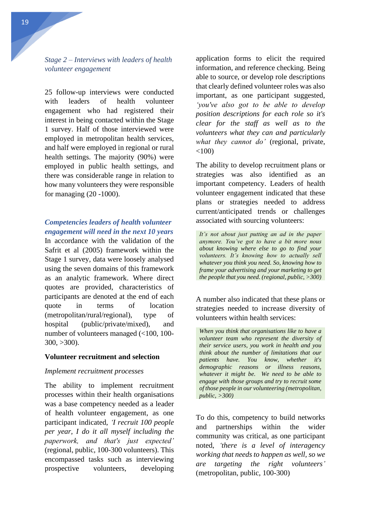<span id="page-19-0"></span>25 follow-up interviews were conducted with leaders of health volunteer engagement who had registered their interest in being contacted within the Stage 1 survey. Half of those interviewed were employed in metropolitan health services, and half were employed in regional or rural health settings. The majority (90%) were employed in public health settings, and there was considerable range in relation to how many volunteers they were responsible for managing (20 -1000).

## *Competencies leaders of health volunteer engagement will need in the next 10 years*

In accordance with the validation of the Safrit et al (2005) framework within the Stage 1 survey, data were loosely analysed using the seven domains of this framework as an analytic framework. Where direct quotes are provided, characteristics of participants are denoted at the end of each quote in terms of location (metropolitan/rural/regional), type of hospital (public/private/mixed), and number of volunteers managed (<100, 100-  $300, >300$ ).

## **Volunteer recruitment and selection**

#### *Implement recruitment processes*

The ability to implement recruitment processes within their health organisations was a base competency needed as a leader of health volunteer engagement, as one participant indicated, *'I recruit 100 people per year, I do it all myself including the paperwork, and that's just expected'* (regional, public, 100-300 volunteers). This encompassed tasks such as interviewing prospective volunteers, developing

application forms to elicit the required information, and reference checking. Being able to source, or develop role descriptions that clearly defined volunteer roles was also important, as one participant suggested, *'you've also got to be able to develop position descriptions for each role so it's clear for the staff as well as to the volunteers what they can and particularly what they cannot do'* (regional, private,  $<100$ )

The ability to develop recruitment plans or strategies was also identified as an important competency. Leaders of health volunteer engagement indicated that these plans or strategies needed to address current/anticipated trends or challenges associated with sourcing volunteers:

*It's not about just putting an ad in the paper anymore. You've got to have a bit more nous about knowing where else to go to find your volunteers. It's knowing how to actually sell whatever you think you need. So, knowing how to frame your advertising and your marketing to get the people that you need. (regional, public, >300)*

A number also indicated that these plans or strategies needed to increase diversity of volunteers within health services:

*When you think that organisations like to have a volunteer team who represent the diversity of their service users, you work in health and you think about the number of limitations that our patients have. You know, whether it's demographic reasons or illness reasons, whatever it might be. We need to be able to engage with those groups and try to recruit some of those people in our volunteering (metropolitan, public, >300)*

To do this, competency to build networks and partnerships within the wider community was critical, as one participant noted, *'there is a level of interagency working that needs to happen as well, so we are targeting the right volunteers'* (metropolitan, public, 100-300)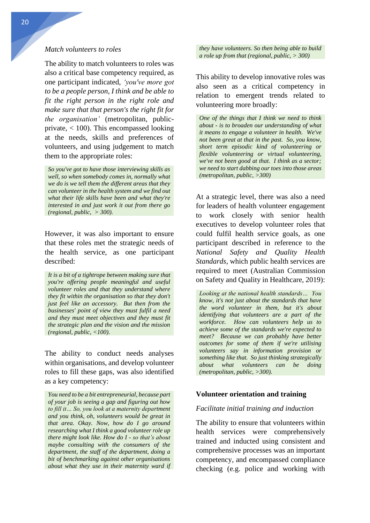#### *Match volunteers to roles*

The ability to match volunteers to roles was also a critical base competency required, as one participant indicated, *'you've more got to be a people person, I think and be able to fit the right person in the right role and make sure that that person's the right fit for the organisation'* (metropolitan, publicprivate, < 100). This encompassed looking at the needs, skills and preferences of volunteers, and using judgement to match them to the appropriate roles:

*So you've got to have those interviewing skills as well, so when somebody comes in, normally what we do is we tell them the different areas that they can volunteer in the health system and we find out what their life skills have been and what they're interested in and just work it out from there go (regional, public, > 300).* 

However, it was also important to ensure that these roles met the strategic needs of the health service, as one participant described:

*It is a bit of a tightrope between making sure that you're offering people meaningful and useful volunteer roles and that they understand where they fit within the organisation so that they don't just feel like an accessory. But then from the businesses' point of view they must fulfil a need and they must meet objectives and they must fit the strategic plan and the vision and the mission (regional, public, <100).*

The ability to conduct needs analyses within organisations, and develop volunteer roles to fill these gaps, was also identified as a key competency:

*You need to be a bit entrepreneurial, because part of your job is seeing a gap and figuring out how to fill it… So, you look at a maternity department and you think, oh, volunteers would be great in that area. Okay. Now, how do I go around researching what I think a good volunteer role up there might look like. How do I - so that's about maybe consulting with the consumers of the department, the staff of the department, doing a bit of benchmarking against other organisations about what they use in their maternity ward if*  *they have volunteers. So then being able to build a role up from that (regional, public, > 300)*

This ability to develop innovative roles was also seen as a critical competency in relation to emergent trends related to volunteering more broadly:

*One of the things that I think we need to think about - is to broaden our understanding of what it means to engage a volunteer in health. We've not been great at that in the past. So, you know, short term episodic kind of volunteering or flexible volunteering or virtual volunteering, we've not been good at that. I think as a sector; we need to start dabbing our toes into those areas (metropolitan, public, >300)*

At a strategic level, there was also a need for leaders of health volunteer engagement to work closely with senior health executives to develop volunteer roles that could fulfil health service goals, as one participant described in reference to the *National Safety and Quality Health Standards*, which public health services are required to meet (Australian Commission on Safety and Quality in Healthcare, 2019):

*Looking at the national health standards… You know, it's not just about the standards that have the word volunteer in them, but it's about identifying that volunteers are a part of the workforce. How can volunteers help us to achieve some of the standards we're expected to meet? Because we can probably have better outcomes for some of them if we're utilising volunteers say in information provision or something like that. So just thinking strategically about what volunteers can be doing (metropolitan, public, >300).*

#### **Volunteer orientation and training**

#### *Facilitate initial training and induction*

The ability to ensure that volunteers within health services were comprehensively trained and inducted using consistent and comprehensive processes was an important competency, and encompassed compliance checking (e.g. police and working with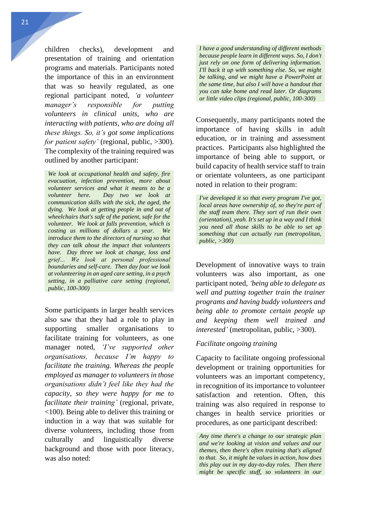children checks), development and presentation of training and orientation programs and materials. Participants noted the importance of this in an environment that was so heavily regulated, as one regional participant noted, *'a volunteer manager's responsible for putting volunteers in clinical units, who are interacting with patients, who are doing all these things. So, it's got some implications for patient safety'* (regional, public, >300). The complexity of the training required was outlined by another participant:

*We look at occupational health and safety, fire evacuation, infection prevention, more about volunteer services and what it means to be a volunteer here. Day two we look at communication skills with the sick, the aged, the dying. We look at getting people in and out of wheelchairs that's safe of the patient, safe for the volunteer. We look at falls prevention, which is costing us millions of dollars a year. We introduce them to the directors of nursing so that they can talk about the impact that volunteers have. Day three we look at change, loss and grief… We look at personal professional boundaries and self-care. Then day four we look at volunteering in an aged care setting, in a psych setting, in a palliative care setting (regional, public, 100-300)*

Some participants in larger health services also saw that they had a role to play in supporting smaller organisations to facilitate training for volunteers, as one manager noted, *'I've supported other organisations, because I'm happy to facilitate the training. Whereas the people employed as manager to volunteers in those organisations didn't feel like they had the capacity, so they were happy for me to facilitate their training'* (regional, private, <100). Being able to deliver this training or induction in a way that was suitable for diverse volunteers, including those from culturally and linguistically diverse background and those with poor literacy, was also noted:

*I have a good understanding of different methods because people learn in different ways. So, I don't just rely on one form of delivering information. I'll back it up with something else. So, we might be talking, and we might have a PowerPoint at the same time, but also I will have a handout that you can take home and read later. Or diagrams or little video clips (regional, public, 100-300)*

Consequently, many participants noted the importance of having skills in adult education, or in training and assessment practices. Participants also highlighted the importance of being able to support, or build capacity of health service staff to train or orientate volunteers, as one participant noted in relation to their program:

*I've developed it so that every program I've got, local areas have ownership of, so they're part of the staff team there. They sort of run their own (orientation), yeah. It's set up in a way and I think you need all those skills to be able to set up something that can actually run (metropolitan, public, >300)*

Development of innovative ways to train volunteers was also important, as one participant noted, *'being able to delegate as well and putting together train the trainer programs and having buddy volunteers and being able to promote certain people up and keeping them well trained and interested'* (metropolitan, public, >300).

## *Facilitate ongoing training*

Capacity to facilitate ongoing professional development or training opportunities for volunteers was an important competency, in recognition of its importance to volunteer satisfaction and retention. Often, this training was also required in response to changes in health service priorities or procedures, as one participant described:

*Any time there's a change to our strategic plan and we're looking at vision and values and our themes, then there's often training that's aligned to that. So, it might be values in action, how does this play out in my day-to-day roles. Then there might be specific stuff, so volunteers in our*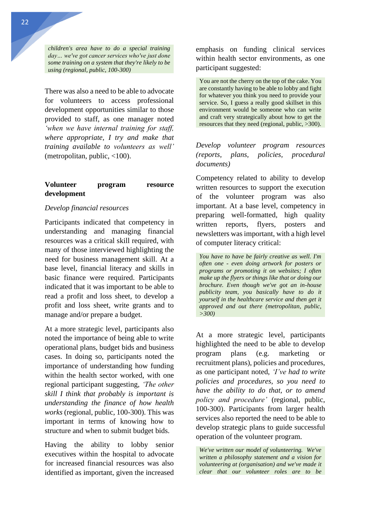*children's area have to do a special training day… we've got cancer services who've just done some training on a system that they're likely to be using (regional, public, 100-300)*

There was also a need to be able to advocate for volunteers to access professional development opportunities similar to those provided to staff, as one manager noted *'when we have internal training for staff, where appropriate, I try and make that training available to volunteers as well'* (metropolitan, public, <100).

## **Volunteer program resource development**

### *Develop financial resources*

Participants indicated that competency in understanding and managing financial resources was a critical skill required, with many of those interviewed highlighting the need for business management skill. At a base level, financial literacy and skills in basic finance were required. Participants indicated that it was important to be able to read a profit and loss sheet, to develop a profit and loss sheet, write grants and to manage and/or prepare a budget.

At a more strategic level, participants also noted the importance of being able to write operational plans, budget bids and business cases. In doing so, participants noted the importance of understanding how funding within the health sector worked, with one regional participant suggesting, *'The other skill I think that probably is important is understanding the finance of how health works* (regional, public, 100-300). This was important in terms of knowing how to structure and when to submit budget bids.

Having the ability to lobby senior executives within the hospital to advocate for increased financial resources was also identified as important, given the increased emphasis on funding clinical services within health sector environments, as one participant suggested:

You are not the cherry on the top of the cake. You are constantly having to be able to lobby and fight for whatever you think you need to provide your service. So, I guess a really good skillset in this environment would be someone who can write and craft very strategically about how to get the resources that they need (regional, public, >300).

*Develop volunteer program resources (reports, plans, policies, procedural documents)* 

Competency related to ability to develop written resources to support the execution of the volunteer program was also important. At a base level, competency in preparing well-formatted, high quality written reports, flyers, posters and newsletters was important, with a high level of computer literacy critical:

*You have to have be fairly creative as well. I'm often one - even doing artwork for posters or programs or promoting it on websites; I often make up the flyers or things like that or doing our brochure. Even though we've got an in-house publicity team, you basically have to do it yourself in the healthcare service and then get it approved and out there (metropolitan, public, >300)*

At a more strategic level, participants highlighted the need to be able to develop program plans (e.g. marketing or recruitment plans), policies and procedures, as one participant noted, *'I've had to write policies and procedures, so you need to have the ability to do that, or to amend policy and procedure'* (regional, public, 100-300). Participants from larger health services also reported the need to be able to develop strategic plans to guide successful operation of the volunteer program.

*We've written our model of volunteering. We've written a philosophy statement and a vision for volunteering at (organisation) and we've made it clear that our volunteer roles are to be*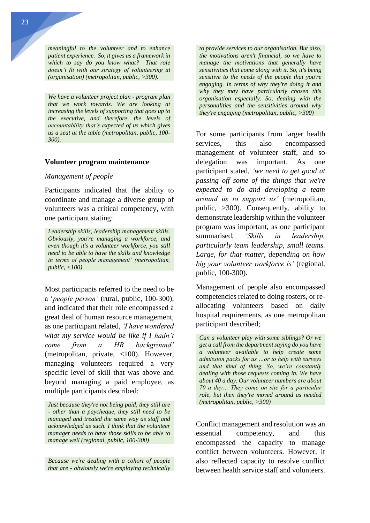*meaningful to the volunteer and to enhance patient experience. So, it gives us a framework in which to say do you know what? That role doesn't fit with our strategy of volunteering at (organisation) (metropolitan, public, >300).*

*We have a volunteer project plan - program plan that we work towards. We are looking at increasing the levels of supporting that goes up to the executive, and therefore, the levels of accountability that's expected of us which gives us a seat at the table (metropolitan, public, 100- 300).* 

#### **Volunteer program maintenance**

#### *Management of people*

Participants indicated that the ability to coordinate and manage a diverse group of volunteers was a critical competency, with one participant stating:

*Leadership skills, leadership management skills. Obviously, you're managing a workforce, and even though it's a volunteer workforce, you still need to be able to have the skills and knowledge in terms of people management' (metropolitan, public, <100).* 

Most participants referred to the need to be a '*people person'* (rural, public, 100-300), and indicated that their role encompassed a great deal of human resource management, as one participant related, *'I have wondered what my service would be like if I hadn't come from a HR background'*  (metropolitan, private, <100). However, managing volunteers required a very specific level of skill that was above and beyond managing a paid employee, as multiple participants described:

*Just because they're not being paid, they still are - other than a paycheque, they still need to be managed and treated the same way as staff and acknowledged as such. I think that the volunteer manager needs to have those skills to be able to manage well (regional, public, 100-300)*

*Because we're dealing with a cohort of people that are - obviously we're employing technically*  *to provide services to our organisation. But also, the motivations aren't financial, so we have to manage the motivations that generally have sensitivities that come along with it. So, it's being sensitive to the needs of the people that you're engaging. In terms of why they're doing it and why they may have particularly chosen this organisation especially. So, dealing with the personalities and the sensitivities around why they're engaging (metropolitan, public, >300)*

For some participants from larger health services, this also encompassed management of volunteer staff, and so delegation was important. As one participant stated, *'we need to get good at passing off some of the things that we're expected to do and developing a team around us to support us'* (metropolitan, public, >300). Consequently, ability to demonstrate leadership within the volunteer program was important, as one participant summarised, *'Skills in leadership, particularly team leadership, small teams. Large, for that matter, depending on how big your volunteer workforce is'* (regional, public, 100-300).

Management of people also encompassed competencies related to doing rosters, or reallocating volunteers based on daily hospital requirements, as one metropolitan participant described;

*Can a volunteer play with some siblings? Or we get a call from the department saying do you have a volunteer available to help create some admission packs for us …or to help with surveys and that kind of thing. So, we're constantly dealing with those requests coming in. We have about 40 a day. Our volunteer numbers are about 70 a day… They come on site for a particular role, but then they're moved around as needed (metropolitan, public, >300)*

Conflict management and resolution was an essential competency, and this encompassed the capacity to manage conflict between volunteers. However, it also reflected capacity to resolve conflict between health service staff and volunteers.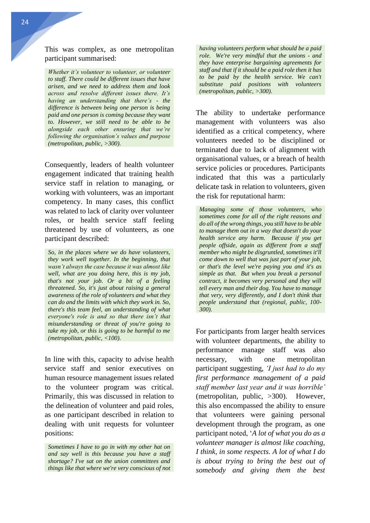This was complex, as one metropolitan participant summarised:

*Whether it's volunteer to volunteer, or volunteer to staff. There could be different issues that have arisen, and we need to address them and look across and resolve different issues there. It's having an understanding that there's - the difference is between being one person is being paid and one person is coming because they want to. However, we still need to be able to be alongside each other ensuring that we're following the organisation's values and purpose (metropolitan, public, >300).*

Consequently, leaders of health volunteer engagement indicated that training health service staff in relation to managing, or working with volunteers, was an important competency. In many cases, this conflict was related to lack of clarity over volunteer roles, or health service staff feeling threatened by use of volunteers, as one participant described:

*So, in the places where we do have volunteers, they work well together. In the beginning, that wasn't always the case because it was almost like well, what are you doing here, this is my job, that's not your job. Or a bit of a feeling threatened. So, it's just about raising a general awareness of the role of volunteers and what they can do and the limits with which they work in. So, there's this team feel, an understanding of what everyone's role is and so that there isn't that misunderstanding or threat of you're going to take my job, or this is going to be harmful to me (metropolitan, public, <100).* 

In line with this, capacity to advise health service staff and senior executives on human resource management issues related to the volunteer program was critical. Primarily, this was discussed in relation to the delineation of volunteer and paid roles, as one participant described in relation to dealing with unit requests for volunteer positions:

*Sometimes I have to go in with my other hat on and say well is this because you have a staff shortage? I've sat on the union committees and things like that where we're very conscious of not*  *having volunteers perform what should be a paid role. We're very mindful that the unions - and they have enterprise bargaining agreements for staff and that if it should be a paid role then it has to be paid by the health service. We can't substitute paid positions with volunteers (metropolitan, public, >300).*

The ability to undertake performance management with volunteers was also identified as a critical competency, where volunteers needed to be disciplined or terminated due to lack of alignment with organisational values, or a breach of health service policies or procedures. Participants indicated that this was a particularly delicate task in relation to volunteers, given the risk for reputational harm:

*Managing some of those volunteers, who sometimes come for all of the right reasons and do all of the wrong things, you still have to be able to manage them out in a way that doesn't do your health service any harm. Because if you get people offside, again as different from a staff member who might be disgruntled, sometimes it'll come down to well that was just part of your job, or that's the level we're paying you and it's as simple as that. But when you break a personal contract, it becomes very personal and they will tell every man and their dog. You have to manage that very, very differently, and I don't think that people understand that (regional, public, 100- 300).*

For participants from larger health services with volunteer departments, the ability to performance manage staff was also necessary, with one metropolitan participant suggesting, *'I just had to do my first performance management of a paid staff member last year and it was horrible'* (metropolitan, public, >300). However, this also encompassed the ability to ensure that volunteers were gaining personal development through the program, as one participant noted, '*A lot of what you do as a volunteer manager is almost like coaching, I think, in some respects. A lot of what I do is about trying to bring the best out of somebody and giving them the best*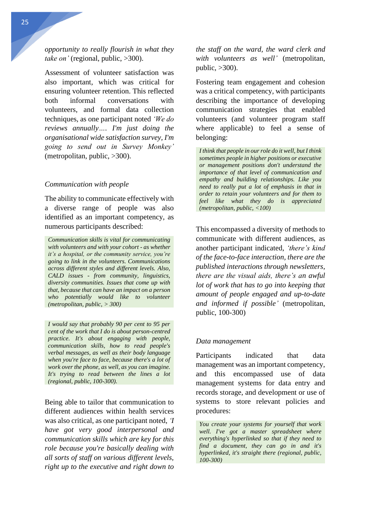*opportunity to really flourish in what they take on'* (regional, public, >300).

Assessment of volunteer satisfaction was also important, which was critical for ensuring volunteer retention. This reflected both informal conversations with volunteers, and formal data collection techniques, as one participant noted *'We do reviews annually…. I'm just doing the organisational wide satisfaction survey, I'm going to send out in Survey Monkey'* (metropolitan, public, >300).

#### *Communication with people*

The ability to communicate effectively with a diverse range of people was also identified as an important competency, as numerous participants described:

*Communication skills is vital for communicating with volunteers and with your cohort - as whether it's a hospital, or the community service, you're going to link in the volunteers. Communications across different styles and different levels. Also, CALD issues - from community, linguistics, diversity communities. Issues that come up with that, because that can have an impact on a person who potentially would like to volunteer (metropolitan, public, > 300)*

*I would say that probably 90 per cent to 95 per cent of the work that I do is about person-centred practice. It's about engaging with people, communication skills, how to read people's verbal messages, as well as their body language when you're face to face, because there's a lot of work over the phone, as well, as you can imagine. It's trying to read between the lines a lot (regional, public, 100-300).*

Being able to tailor that communication to different audiences within health services was also critical, as one participant noted, *'I have got very good interpersonal and communication skills which are key for this role because you're basically dealing with all sorts of staff on various different levels, right up to the executive and right down to* 

*the staff on the ward, the ward clerk and with volunteers as well'* (metropolitan, public, >300).

Fostering team engagement and cohesion was a critical competency, with participants describing the importance of developing communication strategies that enabled volunteers (and volunteer program staff where applicable) to feel a sense of belonging:

*I think that people in our role do it well, but I think sometimes people in higher positions or executive or management positions don't understand the importance of that level of communication and empathy and building relationships. Like you need to really put a lot of emphasis in that in order to retain your volunteers and for them to feel like what they do is appreciated (metropolitan, public, <100)*

This encompassed a diversity of methods to communicate with different audiences, as another participant indicated, *'there's kind of the face-to-face interaction, there are the published interactions through newsletters, there are the visual aids, there's an awful lot of work that has to go into keeping that amount of people engaged and up-to-date and informed if possible'* (metropolitan, public, 100-300)

#### *Data management*

Participants indicated that data management was an important competency, and this encompassed use of data management systems for data entry and records storage, and development or use of systems to store relevant policies and procedures:

*You create your systems for yourself that work well. I've got a master spreadsheet where everything's hyperlinked so that if they need to find a document, they can go in and it's hyperlinked, it's straight there (regional, public, 100-300)*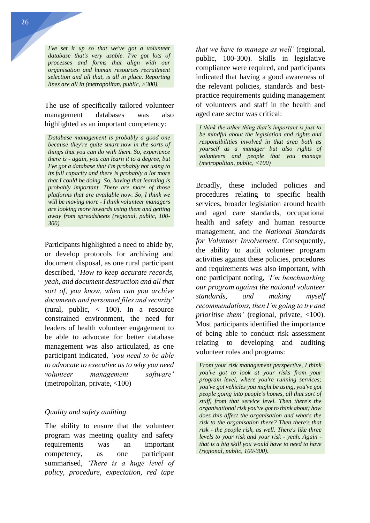26

*I've set it up so that we've got a volunteer database that's very usable. I've got lots of processes and forms that align with our organisation and human resources recruitment selection and all that, is all in place. Reporting lines are all in (metropolitan, public, >300).*

## The use of specifically tailored volunteer management databases was also highlighted as an important competency:

*Database management is probably a good one because they're quite smart now in the sorts of things that you can do with them. So, experience there is - again, you can learn it to a degree, but I've got a database that I'm probably not using to its full capacity and there is probably a lot more that I could be doing. So, having that learning is probably important. There are more of those platforms that are available now. So, I think we will be moving more - I think volunteer managers are looking more towards using them and getting away from spreadsheets (regional, public, 100- 300)*

Participants highlighted a need to abide by, or develop protocols for archiving and document disposal, as one rural participant described, '*How to keep accurate records, yeah, and document destruction and all that sort of, you know, when can you archive documents and personnel files and security'* (rural, public, < 100). In a resource constrained environment, the need for leaders of health volunteer engagement to be able to advocate for better database management was also articulated, as one participant indicated, *'you need to be able to advocate to executive as to why you need volunteer management software'* (metropolitan, private, <100)

## *Quality and safety auditing*

The ability to ensure that the volunteer program was meeting quality and safety requirements was an important competency, as one participant summarised, *'There is a huge level of policy, procedure, expectation, red tape* 

*that we have to manage as well'* (regional, public, 100-300). Skills in legislative compliance were required, and participants indicated that having a good awareness of the relevant policies, standards and bestpractice requirements guiding management of volunteers and staff in the health and aged care sector was critical:

*I think the other thing that's important is just to be mindful about the legislation and rights and responsibilities involved in that area both as yourself as a manager but also rights of volunteers and people that you manage (metropolitan, public, <100)*

Broadly, these included policies and procedures relating to specific health services, broader legislation around health and aged care standards, occupational health and safety and human resource management, and the *National Standards for Volunteer Involvement*. Consequently, the ability to audit volunteer program activities against these policies, procedures and requirements was also important, with one participant noting, *'I'm benchmarking our program against the national volunteer standards, and making myself recommendations, then I'm going to try and prioritise them'* (regional, private, <100). Most participants identified the importance of being able to conduct risk assessment relating to developing and auditing volunteer roles and programs:

*From your risk management perspective, I think you've got to look at your risks from your program level, where you're running services; you've got vehicles you might be using, you've got people going into people's homes, all that sort of stuff, from that service level. Then there's the organisational risk you've got to think about; how does this affect the organisation and what's the risk to the organisation there? Then there's that risk - the people risk, as well. There's like three levels to your risk and your risk - yeah. Again that is a big skill you would have to need to have (regional, public, 100-300).*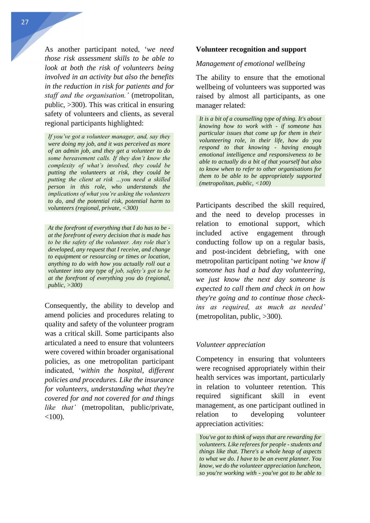As another participant noted, '*we need those risk assessment skills to be able to look at both the risk of volunteers being involved in an activity but also the benefits in the reduction in risk for patients and for staff and the organisation.'* (metropolitan, public, >300). This was critical in ensuring safety of volunteers and clients, as several regional participants highlighted:

*If you've got a volunteer manager, and, say they were doing my job, and it was perceived as more of an admin job, and they get a volunteer to do some bereavement calls. If they don't know the complexity of what's involved, they could be putting the volunteers at risk, they could be putting the client at risk …you need a skilled person in this role, who understands the implications of what you're asking the volunteers to do, and the potential risk, potential harm to volunteers (regional, private, <300)*

*At the forefront of everything that I do has to be at the forefront of every decision that is made has to be the safety of the volunteer. Any role that's developed, any request that I receive, and change to equipment or resourcing or times or location, anything to do with how you actually roll out a volunteer into any type of job, safety's got to be at the forefront of everything you do (regional, public, >300)*

Consequently, the ability to develop and amend policies and procedures relating to quality and safety of the volunteer program was a critical skill. Some participants also articulated a need to ensure that volunteers were covered within broader organisational policies, as one metropolitan participant indicated, '*within the hospital, different policies and procedures. Like the insurance for volunteers, understanding what they're covered for and not covered for and things like that'* (metropolitan, public/private,  $<100$ ).

#### **Volunteer recognition and support**

### *Management of emotional wellbeing*

The ability to ensure that the emotional wellbeing of volunteers was supported was raised by almost all participants, as one manager related:

*It is a bit of a counselling type of thing. It's about knowing how to work with - if someone has particular issues that come up for them in their volunteering role, in their life, how do you respond to that knowing - having enough emotional intelligence and responsiveness to be able to actually do a bit of that yourself but also to know when to refer to other organisations for them to be able to be appropriately supported (metropolitan, public, <100)*

Participants described the skill required, and the need to develop processes in relation to emotional support, which included active engagement through conducting follow up on a regular basis, and post-incident debriefing, with one metropolitan participant noting '*we know if someone has had a bad day volunteering, we just know the next day someone is expected to call them and check in on how they're going and to continue those checkins as required, as much as needed'* (metropolitan, public, >300).

#### *Volunteer appreciation*

Competency in ensuring that volunteers were recognised appropriately within their health services was important, particularly in relation to volunteer retention. This required significant skill in event management, as one participant outlined in relation to developing volunteer appreciation activities:

*You've got to think of ways that are rewarding for volunteers. Like referees for people - students and things like that. There's a whole heap of aspects to what we do. I have to be an event planner. You know, we do the volunteer appreciation luncheon, so you're working with - you've got to be able to*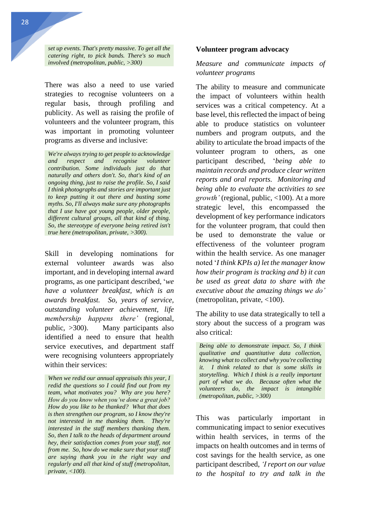*set up events. That's pretty massive. To get all the catering right, to pick bands. There's so much involved (metropolitan, public, >300)*

There was also a need to use varied strategies to recognise volunteers on a regular basis, through profiling and publicity. As well as raising the profile of volunteers and the volunteer program, this was important in promoting volunteer programs as diverse and inclusive:

*We're always trying to get people to acknowledge and respect and recognise volunteer contribution. Some individuals just do that naturally and others don't. So, that's kind of an ongoing thing, just to raise the profile. So, I said I think photographs and stories are important just to keep putting it out there and busting some myths. So, I'll always make sure any photographs that I use have got young people, older people, different cultural groups, all that kind of thing. So, the stereotype of everyone being retired isn't true here (metropolitan, private, >300).*

Skill in developing nominations for external volunteer awards was also important, and in developing internal award programs, as one participant described, '*we have a volunteer breakfast, which is an awards breakfast. So, years of service, outstanding volunteer achievement, life membership happens there'* (regional, public, >300). Many participants also identified a need to ensure that health service executives, and department staff were recognising volunteers appropriately within their services:

#### **Volunteer program advocacy**

## *Measure and communicate impacts of volunteer programs*

The ability to measure and communicate the impact of volunteers within health services was a critical competency. At a base level, this reflected the impact of being able to produce statistics on volunteer numbers and program outputs, and the ability to articulate the broad impacts of the volunteer program to others, as one participant described, '*being able to maintain records and produce clear written reports and oral reports. Monitoring and being able to evaluate the activities to see growth'* (regional, public, <100). At a more strategic level, this encompassed the development of key performance indicators for the volunteer program, that could then be used to demonstrate the value or effectiveness of the volunteer program within the health service. As one manager noted '*I think KPIs a) let the manager know how their program is tracking and b) it can be used as great data to share with the executive about the amazing things we do'* (metropolitan, private, <100).

The ability to use data strategically to tell a story about the success of a program was also critical:

*Being able to demonstrate impact. So, I think qualitative and quantitative data collection, knowing what to collect and why you're collecting it. I think related to that is some skills in storytelling. Which I think is a really important part of what we do. Because often what the volunteers do, the impact is intangible (metropolitan, public, >300)*

This was particularly important in communicating impact to senior executives within health services, in terms of the impacts on health outcomes and in terms of cost savings for the health service, as one participant described, *'I report on our value to the hospital to try and talk in the* 

*When we redid our annual appraisals this year, I redid the questions so I could find out from my team, what motivates you? Why are you here? How do you know when you've done a great job? How do you like to be thanked? What that does is then strengthen our program, so I know they're not interested in me thanking them. They're interested in the staff members thanking them. So, then I talk to the heads of department around hey, their satisfaction comes from your staff, not from me. So, how do we make sure that your staff are saying thank you in the right way and regularly and all that kind of stuff (metropolitan, private, <100).*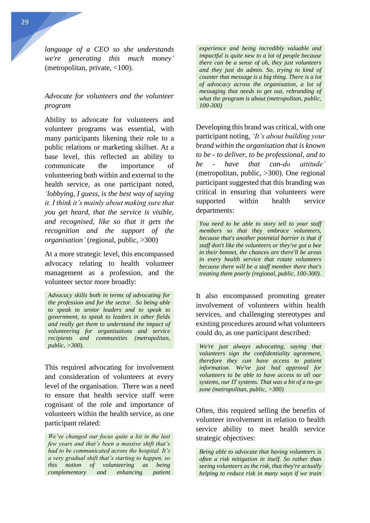*language of a CEO so she understands we're generating this much money'*  (metropolitan, private, <100).

## *Advocate for volunteers and the volunteer program*

Ability to advocate for volunteers and volunteer programs was essential, with many participants likening their role to a public relations or marketing skillset. At a base level, this reflected an ability to communicate the importance of volunteering both within and external to the health service, as one participant noted, *'lobbying, I guess, is the best way of saying it. I think it's mainly about making sure that you get heard, that the service is visible, and recognised, like so that it gets the recognition and the support of the organisation'* (regional, public, >300)

At a more strategic level, this encompassed advocacy relating to health volunteer management as a profession, and the volunteer sector more broadly:

*Advocacy skills both in terms of advocating for the profession and for the sector. So being able to speak to senior leaders and to speak to government, to speak to leaders in other fields and really get them to understand the impact of volunteering for organisations and service recipients and communities (metropolitan, public, >300).* 

This required advocating for involvement and consideration of volunteers at every level of the organisation. There was a need to ensure that health service staff were cognisant of the role and importance of volunteers within the health service, as one participant related:

*We've changed our focus quite a lot in the last few years and that's been a massive shift that's had to be communicated across the hospital. It's a very gradual shift that's starting to happen, so this notion of volunteering as being complementary and enhancing patient*  *experience and being incredibly valuable and impactful is quite new to a lot of people because there can be a sense of oh, they just volunteers and they just do admin. So, trying to kind of counter that message is a big thing. There is a lot of advocacy across the organisation, a lot of messaging that needs to get out, rebranding of what the program is about (metropolitan, public, 100-300)*

Developing this brand was critical, with one participant noting, *'It's about building your brand within the organisation that is known to be - to deliver, to be professional, and to be - have that can-do attitude'*  (metropolitan, public, >300). One regional participant suggested that this branding was critical in ensuring that volunteers were supported within health service departments:

*You need to be able to story tell to your staff members so that they embrace volunteers, because that's another potential barrier is that if staff don't like the volunteers or they've got a bee in their bonnet, the chances are there'll be areas in every health service that rotate volunteers because there will be a staff member there that's treating them poorly (regional, public, 100-300).*

It also encompassed promoting greater involvement of volunteers within health services, and challenging stereotypes and existing procedures around what volunteers could do, as one participant described:

*We're just always advocating, saying that volunteers sign the confidentiality agreement, therefore they can have access to patient information. We've just had approval for volunteers to be able to have access to all our systems, our IT systems. That was a bit of a no-go zone (metropolitan, public, >300)*

Often, this required selling the benefits of volunteer involvement in relation to health service ability to meet health service strategic objectives:

*Being able to advocate that having volunteers is often a risk mitigation in itself. So rather than seeing volunteers as the risk, that they're actually helping to reduce risk in many ways if we train*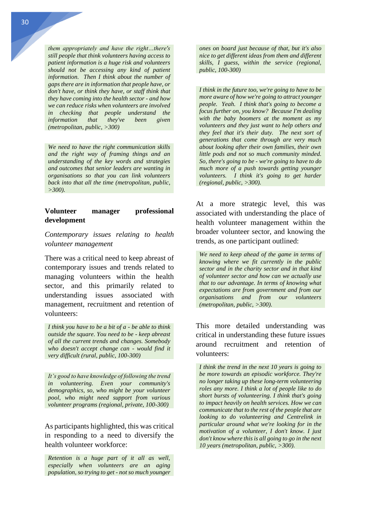*them appropriately and have the right…there's still people that think volunteers having access to patient information is a huge risk and volunteers should not be accessing any kind of patient information. Then I think about the number of gaps there are in information that people have, or don't have, or think they have, or staff think that they have coming into the health sector - and how we can reduce risks when volunteers are involved in checking that people understand the information that they've been given (metropolitan, public, >300)* 

*We need to have the right communication skills and the right way of framing things and an understanding of the key words and strategies and outcomes that senior leaders are wanting in organisations so that you can link volunteers back into that all the time (metropolitan, public, >300).* 

## **Volunteer manager professional development**

*Contemporary issues relating to health volunteer management* 

There was a critical need to keep abreast of contemporary issues and trends related to managing volunteers within the health sector, and this primarily related to understanding issues associated with management, recruitment and retention of volunteers:

*I think you have to be a bit of a - be able to think outside the square. You need to be - keep abreast of all the current trends and changes. Somebody who doesn't accept change can - would find it very difficult (rural, public, 100-300)*

*It's good to have knowledge of following the trend in volunteering. Even your community's demographics, so, who might be your volunteer pool, who might need support from various volunteer programs (regional, private, 100-300)*

As participants highlighted, this was critical in responding to a need to diversify the health volunteer workforce:

*Retention is a huge part of it all as well, especially when volunteers are an aging population, so trying to get - not so much younger*  *ones on board just because of that, but it's also nice to get different ideas from them and different skills, I guess, within the service (regional, public, 100-300)*

*I think in the future too, we're going to have to be more aware of how we're going to attract younger people. Yeah. I think that's going to become a focus further on, you know? Because I'm dealing with the baby boomers at the moment as my volunteers and they just want to help others and they feel that it's their duty. The next sort of generations that come through are very much about looking after their own families, their own little pods and not so much community minded. So, there's going to be - we're going to have to do much more of a push towards getting younger volunteers. I think it's going to get harder (regional, public, >300).*

At a more strategic level, this was associated with understanding the place of health volunteer management within the broader volunteer sector, and knowing the trends, as one participant outlined:

*We need to keep ahead of the game in terms of knowing where we fit currently in the public sector and in the charity sector and in that kind of volunteer sector and how can we actually use that to our advantage. In terms of knowing what expectations are from government and from our organisations and from our volunteers (metropolitan, public, >300).*

This more detailed understanding was critical in understanding these future issues around recruitment and retention of volunteers:

*I think the trend in the next 10 years is going to be more towards an episodic workforce. They're no longer taking up these long-term volunteering roles any more. I think a lot of people like to do short bursts of volunteering. I think that's going to impact heavily on health services. How we can communicate that to the rest of the people that are looking to do volunteering and Centrelink in particular around what we're looking for in the motivation of a volunteer, I don't know. I just don't know where this is all going to go in the next 10 years (metropolitan, public, >300).*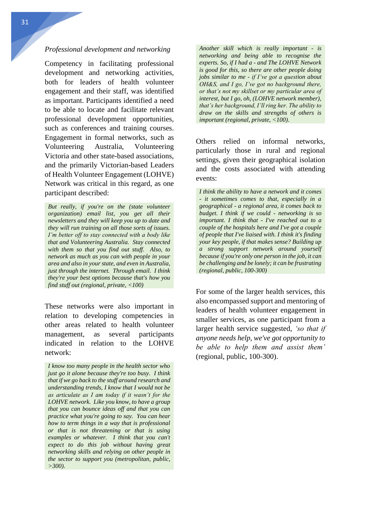#### *Professional development and networking*

Competency in facilitating professional development and networking activities, both for leaders of health volunteer engagement and their staff, was identified as important. Participants identified a need to be able to locate and facilitate relevant professional development opportunities, such as conferences and training courses. Engagement in formal networks, such as Volunteering Australia, Volunteering Victoria and other state-based associations, and the primarily Victorian-based Leaders of Health Volunteer Engagement (LOHVE) Network was critical in this regard, as one participant described:

*But really, if you're on the (state volunteer organization) email list, you get all their newsletters and they will keep you up to date and they will run training on all those sorts of issues. I'm better off to stay connected with a body like that and Volunteering Australia. Stay connected with them so that you find out stuff. Also, to network as much as you can with people in your area and also in your state, and even in Australia, just through the internet. Through email. I think they're your best options because that's how you find stuff out (regional, private, <100)*

These networks were also important in relation to developing competencies in other areas related to health volunteer management, as several participants indicated in relation to the LOHVE network:

*I know too many people in the health sector who just go it alone because they're too busy. I think that if we go back to the stuff around research and understanding trends, I know that I would not be as articulate as I am today if it wasn't for the LOHVE network. Like you know, to have a group that you can bounce ideas off and that you can practice what you're going to say. You can hear how to term things in a way that is professional or that is not threatening or that is using examples or whatever. I think that you can't expect to do this job without having great networking skills and relying on other people in the sector to support you (metropolitan, public, >300).*

*Another skill which is really important - is networking and being able to recognise the experts. So, if I had a - and The LOHVE Network is good for this, so there are other people doing jobs similar to me - if I've got a question about OH&S, and I go, I've got no background there, or that's not my skillset or my particular area of interest, but I go, oh, (LOHVE network member), that's her background, I'll ring her. The ability to draw on the skills and strengths of others is important (regional, private, <100).* 

Others relied on informal networks, particularly those in rural and regional settings, given their geographical isolation and the costs associated with attending events:

*I think the ability to have a network and it comes - it sometimes comes to that, especially in a geographical - a regional area, it comes back to budget. I think if we could - networking is so important. I think that - I've reached out to a couple of the hospitals here and I've got a couple of people that I've liaised with. I think it's finding your key people, if that makes sense? Building up a strong support network around yourself because if you're only one person in the job, it can be challenging and be lonely; it can be frustrating (regional, public, 100-300)*

For some of the larger health services, this also encompassed support and mentoring of leaders of health volunteer engagement in smaller services, as one participant from a larger health service suggested, *'so that if anyone needs help, we've got opportunity to be able to help them and assist them'* (regional, public, 100-300).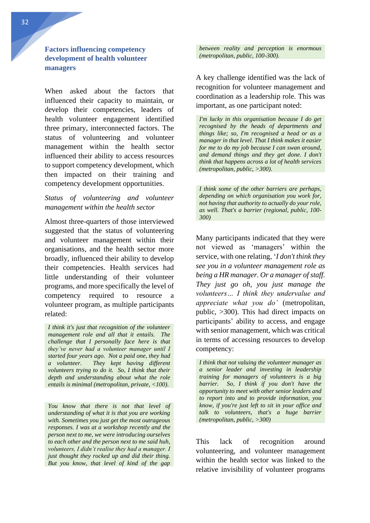**Factors influencing competency development of health volunteer managers** 

When asked about the factors that influenced their capacity to maintain, or develop their competencies, leaders of health volunteer engagement identified three primary, interconnected factors. The status of volunteering and volunteer management within the health sector influenced their ability to access resources to support competency development, which then impacted on their training and competency development opportunities.

## *Status of volunteering and volunteer management within the health sector*

Almost three-quarters of those interviewed suggested that the status of volunteering and volunteer management within their organisations, and the health sector more broadly, influenced their ability to develop their competencies. Health services had little understanding of their volunteer programs, and more specifically the level of competency required to resource a volunteer program, as multiple participants related:

*I think it's just that recognition of the volunteer management role and all that it entails. The challenge that I personally face here is that they've never had a volunteer manager until I started four years ago. Not a paid one, they had a volunteer. They kept having different volunteers trying to do it. So, I think that their depth and understanding about what the role entails is minimal (metropolitan, private, <100).*

*You know that there is not that level of understanding of what it is that you are working with. Sometimes you just get the most outrageous responses. I was at a workshop recently and the person next to me, we were introducing ourselves to each other and the person next to me said huh, volunteers, I didn't realise they had a manager. I just thought they rocked up and did their thing. But you know, that level of kind of the gap* *between reality and perception is enormous (metropolitan, public, 100-300).*

A key challenge identified was the lack of recognition for volunteer management and coordination as a leadership role. This was important, as one participant noted:

*I'm lucky in this organisation because I do get recognised by the heads of departments and things like; so, I'm recognised a head or as a manager in that level. That I think makes it easier for me to do my job because I can swan around, and demand things and they get done. I don't think that happens across a lot of health services (metropolitan, public, >300).*

*I think some of the other barriers are perhaps, depending on which organisation you work for, not having that authority to actually do your role, as well. That's a barrier (regional, public, 100- 300)*

Many participants indicated that they were not viewed as 'managers' within the service, with one relating, '*I don't think they see you in a volunteer management role as being a HR manager. Or a manager of staff. They just go oh, you just manage the volunteers… I think they undervalue and appreciate what you do'* (metropolitan, public, >300). This had direct impacts on participants' ability to access, and engage with senior management, which was critical in terms of accessing resources to develop competency:

*I think that not valuing the volunteer manager as a senior leader and investing in leadership training for managers of volunteers is a big barrier. So, I think if you don't have the opportunity to meet with other senior leaders and to report into and to provide information, you know, if you're just left to sit in your office and talk to volunteers, that's a huge barrier (metropolitan, public, >300)* 

This lack of recognition around volunteering, and volunteer management within the health sector was linked to the relative invisibility of volunteer programs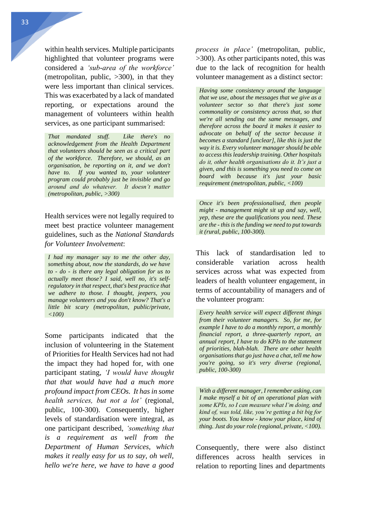within health services. Multiple participants highlighted that volunteer programs were considered a *'sub-area of the workforce'* (metropolitan, public,  $>300$ ), in that they were less important than clinical services. This was exacerbated by a lack of mandated reporting, or expectations around the management of volunteers within health services, as one participant summarised:

*That mandated stuff. Like there's no acknowledgement from the Health Department that volunteers should be seen as a critical part of the workforce. Therefore, we should, as an organisation, be reporting on it, and we don't have to. If you wanted to, your volunteer program could probably just be invisible and go around and do whatever. It doesn't matter (metropolitan, public, >300)*

Health services were not legally required to meet best practice volunteer management guidelines, such as the *National Standards for Volunteer Involvement*:

*I had my manager say to me the other day, something about, now the standards, do we have to - do - is there any legal obligation for us to actually meet those? I said, well no, it's selfregulatory in that respect, that's best practice that we adhere to those. I thought, jeepers, you manage volunteers and you don't know? That's a little bit scary (metropolitan, public/private, <100)* 

Some participants indicated that the inclusion of volunteering in the Statement of Priorities for Health Services had not had the impact they had hoped for, with one participant stating, *'I would have thought that that would have had a much more profound impact from CEOs. It has in some health services, but not a lot'* (regional, public, 100-300). Consequently, higher levels of standardisation were integral, as one participant described, *'something that is a requirement as well from the Department of Human Services, which makes it really easy for us to say, oh well, hello we're here, we have to have a good*  *process in place'* (metropolitan, public, >300). As other participants noted, this was due to the lack of recognition for health volunteer management as a distinct sector:

*Having some consistency around the language that we use, about the messages that we give as a volunteer sector so that there's just some commonality or consistency across that, so that we're all sending out the same messages, and therefore across the board it makes it easier to advocate on behalf of the sector because it becomes a standard [unclear], like this is just the way it is. Every volunteer manager should be able to access this leadership training. Other hospitals do it, other health organisations do it. It's just a given, and this is something you need to come on board with because it's just your basic requirement (metropolitan, public, <100)*

*Once it's been professionalised, then people might - management might sit up and say, well, yep, these are the qualifications you need. These are the - this is the funding we need to put towards it (rural, public, 100-300).*

This lack of standardisation led to considerable variation across health services across what was expected from leaders of health volunteer engagement, in terms of accountability of managers and of the volunteer program:

*Every health service will expect different things from their volunteer managers. So, for me, for example I have to do a monthly report, a monthly financial report, a three-quarterly report, an annual report, I have to do KPIs to the statement of priorities, blah-blah. There are other health organisations that go just have a chat, tell me how you're going, so it's very diverse (regional, public, 100-300)* 

*With a different manager, I remember asking, can I make myself a bit of an operational plan with some KPIs, so I can measure what I'm doing, and kind of, was told, like, you're getting a bit big for your boots. You know - know your place, kind of thing. Just do your role (regional, private, <100).*

Consequently, there were also distinct differences across health services in relation to reporting lines and departments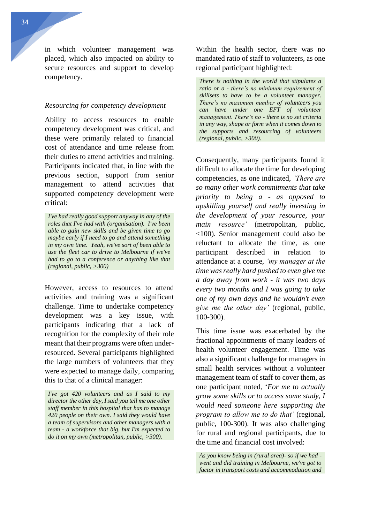in which volunteer management was placed, which also impacted on ability to secure resources and support to develop competency.

#### *Resourcing for competency development*

Ability to access resources to enable competency development was critical, and these were primarily related to financial cost of attendance and time release from their duties to attend activities and training. Participants indicated that, in line with the previous section, support from senior management to attend activities that supported competency development were critical:

*I've had really good support anyway in any of the roles that I've had with (organisation). I've been able to gain new skills and be given time to go maybe early if I need to go and attend something in my own time. Yeah, we've sort of been able to use the fleet car to drive to Melbourne if we've had to go to a conference or anything like that (regional, public, >300)*

However, access to resources to attend activities and training was a significant challenge. Time to undertake competency development was a key issue, with participants indicating that a lack of recognition for the complexity of their role meant that their programs were often underresourced. Several participants highlighted the large numbers of volunteers that they were expected to manage daily, comparing this to that of a clinical manager:

*I've got 420 volunteers and as I said to my director the other day, I said you tell me one other staff member in this hospital that has to manage 420 people on their own. I said they would have a team of supervisors and other managers with a team - a workforce that big, but I'm expected to do it on my own (metropolitan, public, >300).*

Within the health sector, there was no mandated ratio of staff to volunteers, as one regional participant highlighted:

*There is nothing in the world that stipulates a ratio or a - there's no minimum requirement of skillsets to have to be a volunteer manager. There's no maximum number of volunteers you can have under one EFT of volunteer management. There's no - there is no set criteria in any way, shape or form when it comes down to the supports and resourcing of volunteers (regional, public, >300).*

Consequently, many participants found it difficult to allocate the time for developing competencies, as one indicated, *'There are so many other work commitments that take priority to being a - as opposed to upskilling yourself and really investing in the development of your resource, your main resource'* (metropolitan, public, <100). Senior management could also be reluctant to allocate the time, as one participant described in relation to attendance at a course, *'my manager at the time was really hard pushed to even give me a day away from work - it was two days every two months and I was going to take one of my own days and he wouldn't even give me the other day'* (regional, public, 100-300).

This time issue was exacerbated by the fractional appointments of many leaders of health volunteer engagement. Time was also a significant challenge for managers in small health services without a volunteer management team of staff to cover them, as one participant noted, '*For me to actually grow some skills or to access some study, I would need someone here supporting the program to allow me to do that'* (regional, public, 100-300). It was also challenging for rural and regional participants, due to the time and financial cost involved:

*As you know being in (rural area)- so if we had went and did training in Melbourne, we've got to factor in transport costs and accommodation and*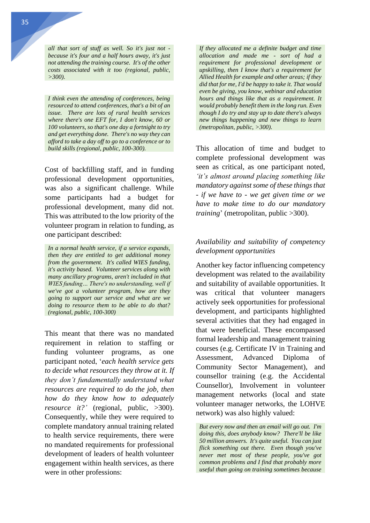*all that sort of stuff as well. So it's just not because it's four and a half hours away, it's just not attending the training course. It's of the other costs associated with it too (regional, public, >300).*

*I think even the attending of conferences, being resourced to attend conferences, that's a bit of an issue. There are lots of rural health services where there's one EFT for, I don't know, 60 or 100 volunteers, so that's one day a fortnight to try and get everything done. There's no way they can afford to take a day off to go to a conference or to build skills (regional, public, 100-300).* 

Cost of backfilling staff, and in funding professional development opportunities, was also a significant challenge. While some participants had a budget for professional development, many did not. This was attributed to the low priority of the volunteer program in relation to funding, as one participant described:

*In a normal health service, if a service expands, then they are entitled to get additional money from the government. It's called WIES funding, it's activity based. Volunteer services along with many ancillary programs, aren't included in that WIES funding… There's no understanding, well if we've got a volunteer program, how are they going to support our service and what are we doing to resource them to be able to do that? (regional, public, 100-300)*

This meant that there was no mandated requirement in relation to staffing or funding volunteer programs, as one participant noted, '*each health service gets to decide what resources they throw at it. If they don't fundamentally understand what resources are required to do the job, then how do they know how to adequately resource it?'* (regional, public, >300). Consequently, while they were required to complete mandatory annual training related to health service requirements, there were no mandated requirements for professional development of leaders of health volunteer engagement within health services, as there were in other professions:

*If they allocated me a definite budget and time allocation and made me - sort of had a requirement for professional development or upskilling, then I know that's a requirement for Allied Health for example and other areas; if they did that for me, I'd be happy to take it. That would even be giving, you know, webinar and education hours and things like that as a requirement. It would probably benefit them in the long run. Even though I do try and stay up to date there's always new things happening and new things to learn (metropolitan, public, >300).*

This allocation of time and budget to complete professional development was seen as critical, as one participant noted, *'it's almost around placing something like mandatory against some of these things that - if we have to - we get given time or we have to make time to do our mandatory training*' (metropolitan, public >300).

## *Availability and suitability of competency development opportunities*

Another key factor influencing competency development was related to the availability and suitability of available opportunities. It was critical that volunteer managers actively seek opportunities for professional development, and participants highlighted several activities that they had engaged in that were beneficial. These encompassed formal leadership and management training courses (e.g. Certificate IV in Training and Assessment, Advanced Diploma of Community Sector Management), and counsellor training (e.g. the Accidental Counsellor), Involvement in volunteer management networks (local and state volunteer manager networks, the LOHVE network) was also highly valued:

*But every now and then an email will go out. I'm doing this, does anybody know? There'll be like 50 million answers. It's quite useful. You can just flick something out there. Even though you've never met most of these people, you've got common problems and I find that probably more useful than going on training sometimes because*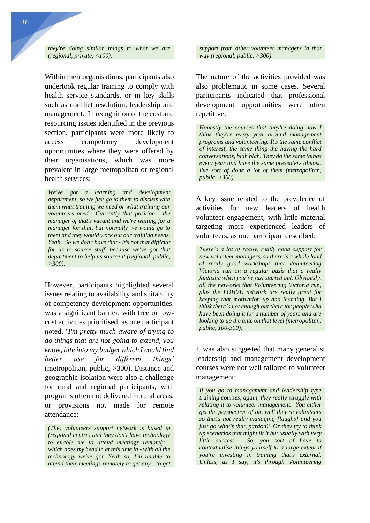*they're doing similar things to what we are (regional, private, <100).*

Within their organisations, participants also undertook regular training to comply with health service standards, or in key skills such as conflict resolution, leadership and management. In recognition of the cost and resourcing issues identified in the previous section, participants were more likely to access competency development opportunities where they were offered by their organisations, which was more prevalent in large metropolitan or regional health services:

*We've got a learning and development department, so we just go to them to discuss with them what training we need or what training our volunteers need. Currently that position - the manager of that's vacant and we're waiting for a manager for that, but normally we would go to them and they would work out our training needs. Yeah. So we don't have that - it's not that difficult for us to source stuff, because we've got that department to help us source it (regional, public, >300).* 

However, participants highlighted several issues relating to availability and suitability of competency development opportunities. was a significant barrier, with free or lowcost activities prioritised, as one participant noted, '*I'm pretty much aware of trying to do things that are not going to extend, you know, bite into my budget which I could find better use for different things'*  (metropolitan, public, >300). Distance and geographic isolation were also a challenge for rural and regional participants, with programs often not delivered in rural areas, or provisions not made for remote attendance:

*(The) volunteers support network is based in (regional centre) and they don't have technology to enable me to attend meetings remotely… which does my head in at this time in - with all the technology we've got. Yeah so, I'm unable to attend their meetings remotely to get any - to get*  *support from other volunteer managers in that way (regional, public, >300).*

The nature of the activities provided was also problematic in some cases. Several participants indicated that professional development opportunities were often repetitive:

*Honestly the courses that they're doing now I think they're every year around management programs and volunteering. It's the same conflict of interest, the same thing the having the hard conversations, blah blah. They do the same things every year and have the same presenters almost. I've sort of done a lot of them (metropolitan, public, >300).* 

A key issue related to the prevalence of activities for new leaders of health volunteer engagement, with little material targeting more experienced leaders of volunteers, as one participant described:

*There's a lot of really, really good support for new volunteer managers, so there is a whole load of really good workshops that Volunteering Victoria run on a regular basis that a really fantastic when you've just started out. Obviously, all the networks that Volunteering Victoria run, plus the LOHVE network are really great for keeping that motivation up and learning. But I think there's not enough out there for people who have been doing it for a number of years and are looking to up the ante on that level (metropolitan, public, 100-300).*

It was also suggested that many generalist leadership and management development courses were not well tailored to volunteer management:

*If you go to management and leadership type training courses, again, they really struggle with relating it to volunteer management. You either get the perspective of oh, well they're volunteers so that's not really managing [laughs] and you just go what's that, pardon? Or they try to think up scenarios that might fit it but usually with very little success. So, you sort of have to contextualise things yourself to a large extent if you're investing in training that's external. Unless, as I say, it's through Volunteering*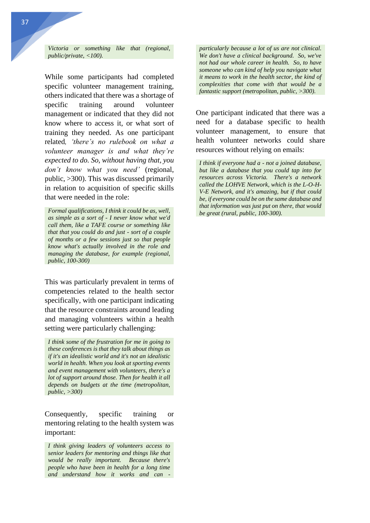*Victoria or something like that (regional, public/private, <100).*

While some participants had completed specific volunteer management training, others indicated that there was a shortage of specific training around volunteer management or indicated that they did not know where to access it, or what sort of training they needed. As one participant related*, 'there's no rulebook on what a volunteer manager is and what they're expected to do. So, without having that, you don't know what you need'* (regional, public, >300). This was discussed primarily in relation to acquisition of specific skills that were needed in the role:

*Formal qualifications, I think it could be as, well, as simple as a sort of - I never know what we'd call them, like a TAFE course or something like that that you could do and just - sort of a couple of months or a few sessions just so that people know what's actually involved in the role and managing the database, for example (regional, public, 100-300)*

This was particularly prevalent in terms of competencies related to the health sector specifically, with one participant indicating that the resource constraints around leading and managing volunteers within a health setting were particularly challenging:

*I think some of the frustration for me in going to these conferences is that they talk about things as if it's an idealistic world and it's not an idealistic world in health. When you look at sporting events and event management with volunteers, there's a lot of support around those. Then for health it all depends on budgets at the time (metropolitan, public, >300)*

Consequently, specific training or mentoring relating to the health system was important:

*I think giving leaders of volunteers access to senior leaders for mentoring and things like that would be really important. Because there's people who have been in health for a long time and understand how it works and can -*

*particularly because a lot of us are not clinical. We don't have a clinical background. So, we've not had our whole career in health. So, to have someone who can kind of help you navigate what it means to work in the health sector, the kind of complexities that come with that would be a fantastic support (metropolitan, public, >300).* 

One participant indicated that there was a need for a database specific to health volunteer management, to ensure that health volunteer networks could share resources without relying on emails:

*I think if everyone had a - not a joined database, but like a database that you could tap into for resources across Victoria. There's a network called the LOHVE Network, which is the L-O-H-V-E Network, and it's amazing, but if that could be, if everyone could be on the same database and that information was just put on there, that would be great (rural, public, 100-300).*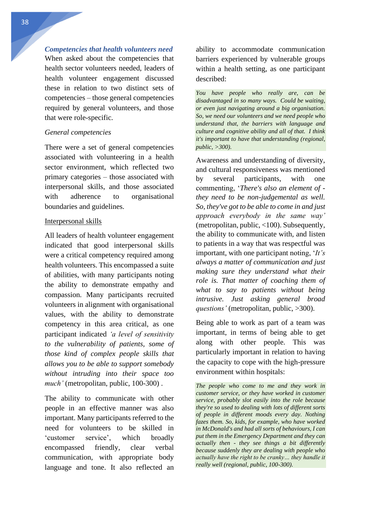*Competencies that health volunteers need* 

When asked about the competencies that health sector volunteers needed, leaders of health volunteer engagement discussed these in relation to two distinct sets of competencies – those general competencies required by general volunteers, and those that were role-specific.

### *General competencies*

There were a set of general competencies associated with volunteering in a health sector environment, which reflected two primary categories – those associated with interpersonal skills, and those associated with adherence to organisational boundaries and guidelines.

#### Interpersonal skills

All leaders of health volunteer engagement indicated that good interpersonal skills were a critical competency required among health volunteers. This encompassed a suite of abilities, with many participants noting the ability to demonstrate empathy and compassion. Many participants recruited volunteers in alignment with organisational values, with the ability to demonstrate competency in this area critical, as one participant indicated *'a level of sensitivity to the vulnerability of patients, some of those kind of complex people skills that allows you to be able to support somebody without intruding into their space too much'* (metropolitan, public, 100-300) .

The ability to communicate with other people in an effective manner was also important. Many participants referred to the need for volunteers to be skilled in 'customer service', which broadly encompassed friendly, clear verbal communication, with appropriate body language and tone. It also reflected an ability to accommodate communication barriers experienced by vulnerable groups within a health setting, as one participant described:

*You have people who really are, can be disadvantaged in so many ways. Could be waiting, or even just navigating around a big organisation. So, we need our volunteers and we need people who understand that, the barriers with language and culture and cognitive ability and all of that. I think it's important to have that understanding (regional, public, >300).* 

Awareness and understanding of diversity, and cultural responsiveness was mentioned by several participants, with one commenting, '*There's also an element of they need to be non-judgemental as well. So, they've got to be able to come in and just approach everybody in the same way'* (metropolitan, public, <100). Subsequently, the ability to communicate with, and listen to patients in a way that was respectful was important, with one participant noting, '*It's always a matter of communication and just making sure they understand what their role is. That matter of coaching them of what to say to patients without being intrusive. Just asking general broad questions'* (metropolitan, public, >300).

Being able to work as part of a team was important, in terms of being able to get along with other people. This was particularly important in relation to having the capacity to cope with the high-pressure environment within hospitals:

*The people who come to me and they work in customer service, or they have worked in customer service, probably slot easily into the role because they're so used to dealing with lots of different sorts of people in different moods every day. Nothing fazes them. So, kids, for example, who have worked in McDonald's and had all sorts of behaviours, I can put them in the Emergency Department and they can actually then - they see things a bit differently because suddenly they are dealing with people who actually have the right to be cranky… they handle it really well (regional, public, 100-300).*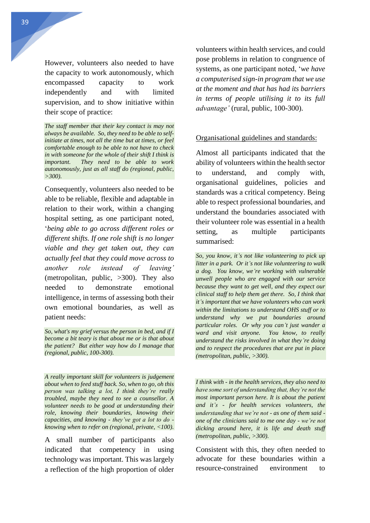However, volunteers also needed to have the capacity to work autonomously, which encompassed capacity to work independently and with limited supervision, and to show initiative within their scope of practice:

*The staff member that their key contact is may not always be available. So, they need to be able to selfinitiate at times, not all the time but at times, or feel comfortable enough to be able to not have to check in with someone for the whole of their shift I think is important. They need to be able to work autonomously, just as all staff do (regional, public, >300).* 

Consequently, volunteers also needed to be able to be reliable, flexible and adaptable in relation to their work, within a changing hospital setting, as one participant noted, '*being able to go across different roles or different shifts. If one role shift is no longer viable and they get taken out, they can actually feel that they could move across to another role instead of leaving'* (metropolitan, public, >300). They also needed to demonstrate emotional intelligence, in terms of assessing both their own emotional boundaries, as well as patient needs:

*So, what's my grief versus the person in bed, and if I become a bit teary is that about me or is that about the patient? But either way how do I manage that (regional, public, 100-300).* 

*A really important skill for volunteers is judgement about when to feed stuff back. So, when to go, oh this person was talking a lot, I think they're really troubled, maybe they need to see a counsellor. A volunteer needs to be good at understanding their role, knowing their boundaries, knowing their capacities, and knowing - they've got a lot to do knowing when to refer on (regional, private, <100).*

A small number of participants also indicated that competency in using technology was important. This was largely a reflection of the high proportion of older volunteers within health services, and could pose problems in relation to congruence of systems, as one participant noted, '*we have a computerised sign-in program that we use at the moment and that has had its barriers in terms of people utilising it to its full advantage'* (rural, public, 100-300).

#### Organisational guidelines and standards:

Almost all participants indicated that the ability of volunteers within the health sector to understand, and comply with, organisational guidelines, policies and standards was a critical competency. Being able to respect professional boundaries, and understand the boundaries associated with their volunteer role was essential in a health setting, as multiple participants summarised:

*So, you know, it's not like volunteering to pick up litter in a park. Or it's not like volunteering to walk a dog. You know, we're working with vulnerable unwell people who are engaged with our service because they want to get well, and they expect our clinical staff to help them get there. So, I think that it's important that we have volunteers who can work within the limitations to understand OHS stuff or to understand why we put boundaries around particular roles. Or why you can't just wander a ward and visit anyone. You know, to really understand the risks involved in what they're doing and to respect the procedures that are put in place (metropolitan, public, >300).* 

*I think with - in the health services, they also need to have some sort of understanding that, they're not the most important person here. It is about the patient and it's - for health services volunteers, the understanding that we're not - as one of them said one of the clinicians said to me one day - we're not dicking around here, it is life and death stuff (metropolitan, public, >300).*

Consistent with this, they often needed to advocate for these boundaries within a resource-constrained environment to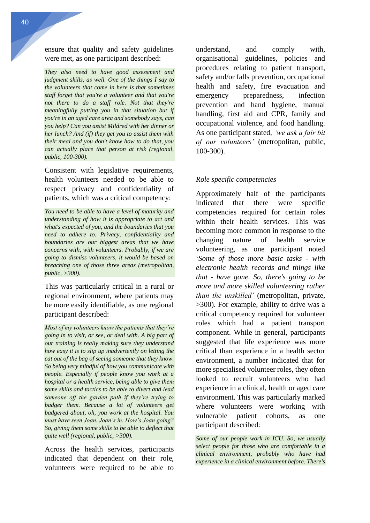ensure that quality and safety guidelines were met, as one participant described:

*They also need to have good assessment and judgment skills, as well. One of the things I say to the volunteers that come in here is that sometimes staff forget that you're a volunteer and that you're not there to do a staff role. Not that they're meaningfully putting you in that situation but if you're in an aged care area and somebody says, can you help? Can you assist Mildred with her dinner or her lunch? And (if) they get you to assist them with their meal and you don't know how to do that, you can actually place that person at risk (regional, public, 100-300).*

Consistent with legislative requirements, health volunteers needed to be able to respect privacy and confidentiality of patients, which was a critical competency:

*You need to be able to have a level of maturity and understanding of how it is appropriate to act and what's expected of you, and the boundaries that you need to adhere to. Privacy, confidentiality and boundaries are our biggest areas that we have concerns with, with volunteers. Probably, if we are going to dismiss volunteers, it would be based on breaching one of those three areas (metropolitan, public, >300).*

This was particularly critical in a rural or regional environment, where patients may be more easily identifiable, as one regional participant described:

*Most of my volunteers know the patients that they're going in to visit, or see, or deal with. A big part of our training is really making sure they understand how easy it is to slip up inadvertently on letting the cat out of the bag of seeing someone that they know. So being very mindful of how you communicate with people. Especially if people know you work at a hospital or a health service, being able to give them some skills and tactics to be able to divert and lead someone off the garden path if they're trying to badger them. Because a lot of volunteers get badgered about, oh, you work at the hospital. You must have seen Joan. Joan's in. How's Joan going? So, giving them some skills to be able to deflect that quite well (regional, public, >300).*

Across the health services, participants indicated that dependent on their role, volunteers were required to be able to

understand, and comply with, organisational guidelines, policies and procedures relating to patient transport, safety and/or falls prevention, occupational health and safety, fire evacuation and emergency preparedness, infection prevention and hand hygiene, manual handling, first aid and CPR, family and occupational violence, and food handling. As one participant stated, *'we ask a fair bit of our volunteers'* (metropolitan, public, 100-300).

#### *Role specific competencies*

Approximately half of the participants indicated that there were specific competencies required for certain roles within their health services. This was becoming more common in response to the changing nature of health service volunteering, as one participant noted '*Some of those more basic tasks - with electronic health records and things like that - have gone. So, there's going to be more and more skilled volunteering rather than the unskilled'* (metropolitan, private, >300). For example, ability to drive was a critical competency required for volunteer roles which had a patient transport component. While in general, participants suggested that life experience was more critical than experience in a health sector environment, a number indicated that for more specialised volunteer roles, they often looked to recruit volunteers who had experience in a clinical, health or aged care environment. This was particularly marked where volunteers were working with vulnerable patient cohorts, as one participant described:

*Some of our people work in ICU. So, we usually select people for those who are comfortable in a clinical environment, probably who have had experience in a clinical environment before. There's*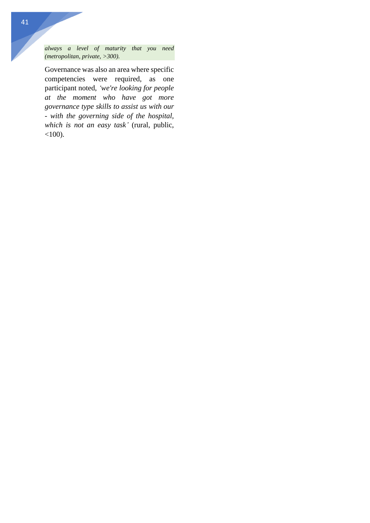*always a level of maturity that you need (metropolitan, private, >300).*

Governance was also an area where specific competencies were required, as one participant noted, *'we're looking for people at the moment who have got more governance type skills to assist us with our - with the governing side of the hospital, which is not an easy task'* (rural, public,  $<100$ ).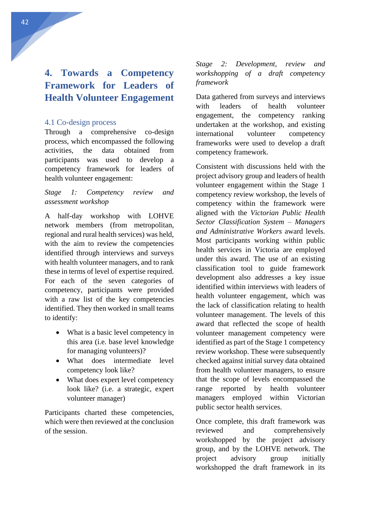# <span id="page-42-0"></span>**4. Towards a Competency Framework for Leaders of Health Volunteer Engagement**

## <span id="page-42-1"></span>4.1 Co-design process

Through a comprehensive co-design process, which encompassed the following activities, the data obtained from participants was used to develop a competency framework for leaders of health volunteer engagement:

*Stage 1: Competency review and assessment workshop*

A half-day workshop with LOHVE network members (from metropolitan, regional and rural health services) was held, with the aim to review the competencies identified through interviews and surveys with health volunteer managers, and to rank these in terms of level of expertise required. For each of the seven categories of competency, participants were provided with a raw list of the key competencies identified. They then worked in small teams to identify:

- What is a basic level competency in this area (i.e. base level knowledge for managing volunteers)?
- What does intermediate level competency look like?
- What does expert level competency look like? (i.e. a strategic, expert volunteer manager)

Participants charted these competencies, which were then reviewed at the conclusion of the session.

*Stage 2: Development, review and workshopping of a draft competency framework*

Data gathered from surveys and interviews with leaders of health volunteer engagement, the competency ranking undertaken at the workshop, and existing international volunteer competency frameworks were used to develop a draft competency framework.

Consistent with discussions held with the project advisory group and leaders of health volunteer engagement within the Stage 1 competency review workshop, the levels of competency within the framework were aligned with the *Victorian Public Health Sector Classification System – Managers and Administrative Workers* award levels. Most participants working within public health services in Victoria are employed under this award. The use of an existing classification tool to guide framework development also addresses a key issue identified within interviews with leaders of health volunteer engagement, which was the lack of classification relating to health volunteer management. The levels of this award that reflected the scope of health volunteer management competency were identified as part of the Stage 1 competency review workshop. These were subsequently checked against initial survey data obtained from health volunteer managers, to ensure that the scope of levels encompassed the range reported by health volunteer managers employed within Victorian public sector health services.

Once complete, this draft framework was reviewed and comprehensively workshopped by the project advisory group, and by the LOHVE network. The project advisory group initially workshopped the draft framework in its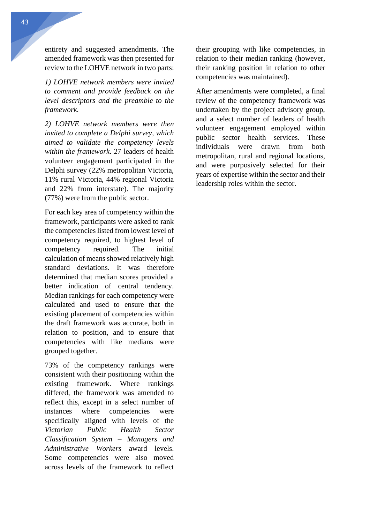entirety and suggested amendments. The amended framework was then presented for review to the LOHVE network in two parts:

*1) LOHVE network members were invited to comment and provide feedback on the level descriptors and the preamble to the framework.* 

*2) LOHVE network members were then invited to complete a Delphi survey, which aimed to validate the competency levels within the framework*. 27 leaders of health volunteer engagement participated in the Delphi survey (22% metropolitan Victoria, 11% rural Victoria, 44% regional Victoria and 22% from interstate). The majority (77%) were from the public sector.

For each key area of competency within the framework, participants were asked to rank the competencies listed from lowest level of competency required, to highest level of competency required. The initial calculation of means showed relatively high standard deviations. It was therefore determined that median scores provided a better indication of central tendency. Median rankings for each competency were calculated and used to ensure that the existing placement of competencies within the draft framework was accurate, both in relation to position, and to ensure that competencies with like medians were grouped together.

73% of the competency rankings were consistent with their positioning within the existing framework. Where rankings differed, the framework was amended to reflect this, except in a select number of instances where competencies were specifically aligned with levels of the *Victorian Public Health Sector Classification System – Managers and Administrative Workers* award levels. Some competencies were also moved across levels of the framework to reflect their grouping with like competencies, in relation to their median ranking (however, their ranking position in relation to other competencies was maintained).

After amendments were completed, a final review of the competency framework was undertaken by the project advisory group, and a select number of leaders of health volunteer engagement employed within public sector health services. These individuals were drawn from both metropolitan, rural and regional locations, and were purposively selected for their years of expertise within the sector and their leadership roles within the sector.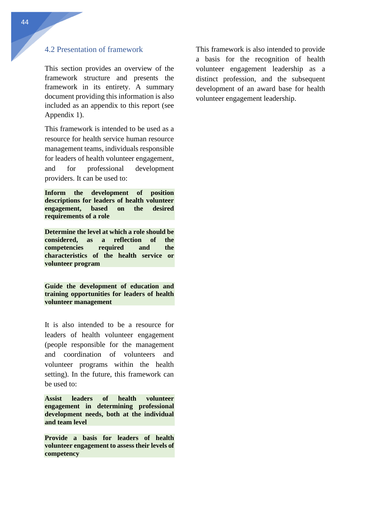## <span id="page-44-0"></span>4.2 Presentation of framework

This section provides an overview of the framework structure and presents the framework in its entirety. A summary document providing this information is also included as an appendix to this report (see Appendix 1).

This framework is intended to be used as a resource for health service human resource management teams, individuals responsible for leaders of health volunteer engagement, and for professional development providers. It can be used to:

**Inform the development of position descriptions for leaders of health volunteer engagement, based on the desired requirements of a role** 

**Determine the level at which a role should be considered, as a reflection of the competencies required and the characteristics of the health service or volunteer program**

**Guide the development of education and training opportunities for leaders of health volunteer management**

It is also intended to be a resource for leaders of health volunteer engagement (people responsible for the management and coordination of volunteers and volunteer programs within the health setting). In the future, this framework can be used to:

**Assist leaders of health volunteer engagement in determining professional development needs, both at the individual and team level** 

**Provide a basis for leaders of health volunteer engagement to assess their levels of competency** 

This framework is also intended to provide a basis for the recognition of health volunteer engagement leadership as a distinct profession, and the subsequent development of an award base for health volunteer engagement leadership.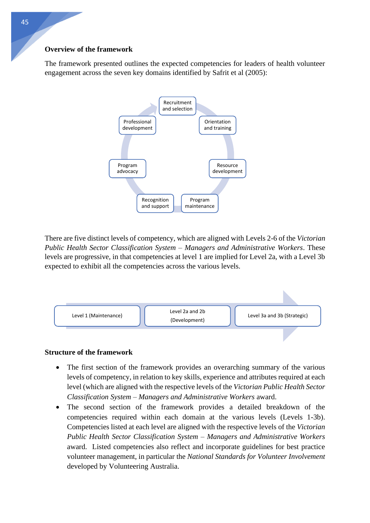### **Overview of the framework**

The framework presented outlines the expected competencies for leaders of health volunteer engagement across the seven key domains identified by Safrit et al (2005):



There are five distinct levels of competency, which are aligned with Levels 2-6 of the *Victorian Public Health Sector Classification System – Managers and Administrative Workers*. These levels are progressive, in that competencies at level 1 are implied for Level 2a, with a Level 3b expected to exhibit all the competencies across the various levels.



## **Structure of the framework**

- The first section of the framework provides an overarching summary of the various levels of competency, in relation to key skills, experience and attributes required at each level (which are aligned with the respective levels of the *Victorian Public Health Sector Classification System – Managers and Administrative Workers* award.
- The second section of the framework provides a detailed breakdown of the competencies required within each domain at the various levels (Levels 1-3b). Competencies listed at each level are aligned with the respective levels of the *Victorian Public Health Sector Classification System – Managers and Administrative Workers* award. Listed competencies also reflect and incorporate guidelines for best practice volunteer management, in particular the *National Standards for Volunteer Involvement* developed by Volunteering Australia.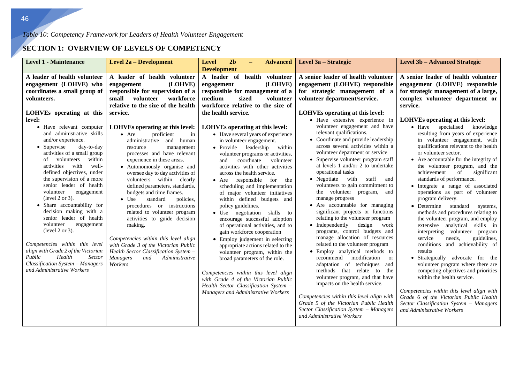## **SECTION 1: OVERVIEW OF LEVELS OF COMPETENCY**

| <b>Level 1 - Maintenance</b>                                                                                                                                                                                                                                                                                                                                                                                                                                                                                                                                                                                                                                                                                                                                                                          | <b>Level 2a - Development</b>                                                                                                                                                                                                                                                                                                                                                                                                                                                                                                                                                                                                                                                                                                                                                                                                                                              | 2 <sub>b</sub><br><b>Level</b><br><b>Advanced</b><br>$-$<br><b>Development</b>                                                                                                                                                                                                                                                                                                                                                                                                                                                                                                                                                                                                                                                                                                                                                                                                                                                                                                                                                                                                                | Level 3a – Strategic                                                                                                                                                                                                                                                                                                                                                                                                                                                                                                                                                                                                                                                                                                                                                                                                                                                                                                                                                                                                                                                                                                                                                                                                                                                                 | <b>Level 3b – Advanced Strategic</b>                                                                                                                                                                                                                                                                                                                                                                                                                                                                                                                                                                                                                                                                                                                                                                                                                                                                                                                                                                                                                                                                                                                                                                           |
|-------------------------------------------------------------------------------------------------------------------------------------------------------------------------------------------------------------------------------------------------------------------------------------------------------------------------------------------------------------------------------------------------------------------------------------------------------------------------------------------------------------------------------------------------------------------------------------------------------------------------------------------------------------------------------------------------------------------------------------------------------------------------------------------------------|----------------------------------------------------------------------------------------------------------------------------------------------------------------------------------------------------------------------------------------------------------------------------------------------------------------------------------------------------------------------------------------------------------------------------------------------------------------------------------------------------------------------------------------------------------------------------------------------------------------------------------------------------------------------------------------------------------------------------------------------------------------------------------------------------------------------------------------------------------------------------|-----------------------------------------------------------------------------------------------------------------------------------------------------------------------------------------------------------------------------------------------------------------------------------------------------------------------------------------------------------------------------------------------------------------------------------------------------------------------------------------------------------------------------------------------------------------------------------------------------------------------------------------------------------------------------------------------------------------------------------------------------------------------------------------------------------------------------------------------------------------------------------------------------------------------------------------------------------------------------------------------------------------------------------------------------------------------------------------------|--------------------------------------------------------------------------------------------------------------------------------------------------------------------------------------------------------------------------------------------------------------------------------------------------------------------------------------------------------------------------------------------------------------------------------------------------------------------------------------------------------------------------------------------------------------------------------------------------------------------------------------------------------------------------------------------------------------------------------------------------------------------------------------------------------------------------------------------------------------------------------------------------------------------------------------------------------------------------------------------------------------------------------------------------------------------------------------------------------------------------------------------------------------------------------------------------------------------------------------------------------------------------------------|----------------------------------------------------------------------------------------------------------------------------------------------------------------------------------------------------------------------------------------------------------------------------------------------------------------------------------------------------------------------------------------------------------------------------------------------------------------------------------------------------------------------------------------------------------------------------------------------------------------------------------------------------------------------------------------------------------------------------------------------------------------------------------------------------------------------------------------------------------------------------------------------------------------------------------------------------------------------------------------------------------------------------------------------------------------------------------------------------------------------------------------------------------------------------------------------------------------|
| A leader of health volunteer<br>engagement (LOHVE) who<br>coordinates a small group of<br>volunteers.<br>LOHVEs operating at this<br>level:<br>• Have relevant computer<br>and administrative skills<br>and/or experience.<br>• Supervise<br>day-to-day<br>activities of a small group<br>within<br>volunteers<br>of<br>well-<br>activities<br>with<br>defined objectives, under<br>the supervision of a more<br>senior leader of health<br>volunteer<br>engagement<br>(level 2 or 3).<br>• Share accountability for<br>decision making with a<br>senior leader of health<br>volunteer<br>engagement<br>(level $2$ or $3$ ).<br>Competencies within this level<br>align with Grade 2 of the Victorian<br>Health<br>Public<br>Sector<br>Classification System - Managers<br>and Administrative Workers | A leader of health volunteer<br>(LOHVE)<br>engagement<br>responsible for supervision of a<br>small<br>volunteer<br>workforce<br>relative to the size of the health<br>service.<br>LOHVEs operating at this level:<br>$•$ Are<br>proficient<br>in<br>and<br>administrative<br>human<br>resource<br>management<br>processes and have relevant<br>experience in these areas.<br>• Autonomously organise and<br>oversee day to day activities of<br>volunteers within clearly<br>defined parameters, standards,<br>budgets and time frames.<br>standard<br>$\bullet$ Use<br>policies.<br>procedures or instructions<br>related to volunteer program<br>activities to guide decision<br>making.<br>Competencies within this level align<br>with Grade 3 of the Victorian Public<br>Health Sector Classification System -<br><b>Managers</b><br>and<br>Administrative<br>Workers | A leader of<br>health volunteer<br>(LOHVE)<br>engagement<br>responsible for management of a<br>medium<br>sized<br>volunteer<br>workforce relative to the size of<br>the health service.<br>LOHVEs operating at this level:<br>• Have several years of experience<br>in volunteer engagement.<br>• Provide leadership<br>within<br>volunteer programs or activities,<br>coordinate<br>volunteer<br>and<br>activities with other activities<br>across the health service.<br>responsible<br>the<br>for<br>$\bullet$ Are<br>scheduling and implementation<br>of major volunteer initiatives<br>within defined budgets and<br>policy guidelines.<br>• Use negotiation<br>skills to<br>encourage successful adoption<br>of operational activities, and to<br>gain workforce cooperation<br>• Employ judgement in selecting<br>appropriate actions related to the<br>volunteer program, within the<br>broad parameters of the role.<br>Competencies within this level align<br>with Grade 4 of the Victorian Public<br>Health Sector Classification System -<br>Managers and Administrative Workers | A senior leader of health volunteer<br>engagement (LOHVE) responsible<br>for strategic management of a<br>volunteer department/service.<br><b>LOHVEs operating at this level:</b><br>• Have extensive experience in<br>volunteer engagement and have<br>relevant qualifications.<br>• Coordinate and provide leadership<br>across several activities within a<br>volunteer department or service<br>• Supervise volunteer program staff<br>at levels 1 and/or 2 to undertake<br>operational tasks<br>• Negotiate with<br>staff<br>and<br>volunteers to gain commitment to<br>the volunteer program,<br>and<br>manage progress<br>• Are accountable for managing<br>significant projects or functions<br>relating to the volunteer program<br>design<br>$\bullet$ Independently<br>work<br>programs, control budgets and<br>manage allocation of resources<br>related to the volunteer program<br>• Employ analytical methods to<br>recommend modification<br><sub>or</sub><br>adaptation of techniques<br>and<br>methods that relate to<br>the<br>volunteer program, and that have<br>impacts on the health service.<br>Competencies within this level align with<br>Grade 5 of the Victorian Public Health<br>Sector Classification System - Managers<br>and Administrative Workers | A senior leader of health volunteer<br>engagement (LOHVE) responsible<br>for strategic management of a large,<br>complex volunteer department or<br>service.<br><b>LOHVEs operating at this level:</b><br>• Have specialised knowledge<br>resulting from years of experience<br>in volunteer engagement, with<br>qualifications relevant to the health<br>or volunteer sector.<br>• Are accountable for the integrity of<br>the volunteer program, and the<br>achievement<br>of<br>significant<br>standards of performance.<br>• Integrate a range of associated<br>operations as part of volunteer<br>program delivery.<br>• Determine standard<br>systems,<br>methods and procedures relating to<br>the volunteer program, and employ<br>extensive analytical skills in<br>interpreting volunteer<br>program<br>needs.<br>service<br>guidelines.<br>conditions and achievability of<br>results<br>• Strategically advocate for the<br>volunteer program where there are<br>competing objectives and priorities<br>within the health service.<br>Competencies within this level align with<br>Grade 6 of the Victorian Public Health<br>Sector Classification System - Managers<br>and Administrative Workers |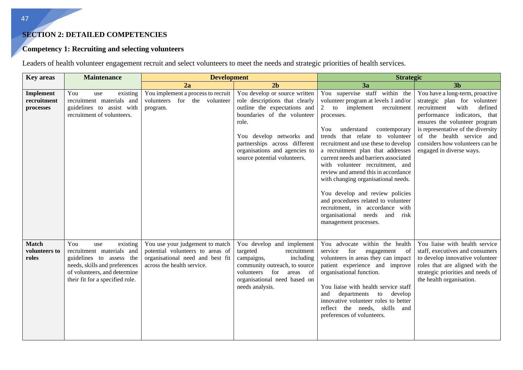## **SECTION 2: DETAILED COMPETENCIES**

## **Competency 1: Recruiting and selecting volunteers**

Leaders of health volunteer engagement recruit and select volunteers to meet the needs and strategic priorities of health services.

| <b>Key areas</b>                       | <b>Maintenance</b>                                                                                                                                                                  | <b>Development</b>                                                                                                                    |                                                                                                                                                                                                                                                                       | <b>Strategic</b>                                                                                                                                                                                                                                                                                                                                                                                                                                                                                                                                                                                            |                                                                                                                                                                                                                                                                                                      |  |
|----------------------------------------|-------------------------------------------------------------------------------------------------------------------------------------------------------------------------------------|---------------------------------------------------------------------------------------------------------------------------------------|-----------------------------------------------------------------------------------------------------------------------------------------------------------------------------------------------------------------------------------------------------------------------|-------------------------------------------------------------------------------------------------------------------------------------------------------------------------------------------------------------------------------------------------------------------------------------------------------------------------------------------------------------------------------------------------------------------------------------------------------------------------------------------------------------------------------------------------------------------------------------------------------------|------------------------------------------------------------------------------------------------------------------------------------------------------------------------------------------------------------------------------------------------------------------------------------------------------|--|
|                                        |                                                                                                                                                                                     | 2a                                                                                                                                    | 2 <sub>b</sub>                                                                                                                                                                                                                                                        | 3a                                                                                                                                                                                                                                                                                                                                                                                                                                                                                                                                                                                                          | 3 <sub>b</sub>                                                                                                                                                                                                                                                                                       |  |
| Implement<br>recruitment<br>processes  | You<br>existing<br>use<br>recruitment materials and<br>guidelines to assist with<br>recruitment of volunteers.                                                                      | You implement a process to recruit<br>volunteers for the volunteer<br>program.                                                        | You develop or source written<br>role descriptions that clearly<br>outline the expectations and<br>boundaries of the volunteer<br>role.<br>You develop networks and<br>partnerships across different<br>organisations and agencies to<br>source potential volunteers. | You supervise staff within the<br>volunteer program at levels 1 and/or<br>2 to implement<br>recruitment<br>processes.<br>understand<br>You<br>contemporary<br>trends that relate to volunteer<br>recruitment and use these to develop<br>a recruitment plan that addresses<br>current needs and barriers associated<br>with volunteer recruitment, and<br>review and amend this in accordance<br>with changing organisational needs.<br>You develop and review policies<br>and procedures related to volunteer<br>recruitment, in accordance with<br>organisational needs and risk<br>management processes. | You have a long-term, proactive<br>strategic plan for volunteer<br>defined<br>recruitment<br>with<br>performance indicators, that<br>ensures the volunteer program<br>is representative of the diversity<br>of the health service and<br>considers how volunteers can be<br>engaged in diverse ways. |  |
| <b>Match</b><br>volunteers to<br>roles | You<br>existing<br>use<br>recruitment materials and<br>guidelines to assess the<br>needs, skills and preferences<br>of volunteers, and determine<br>their fit for a specified role. | You use your judgement to match<br>potential volunteers to areas of<br>organisational need and best fit<br>across the health service. | You develop and implement<br>targeted<br>recruitment<br>campaigns,<br>including<br>community outreach, to source<br>for<br>volunteers<br>areas<br>of<br>organisational need based on<br>needs analysis.                                                               | You advocate within the health<br>service<br>for<br>engagement<br>of<br>volunteers in areas they can impact<br>patient experience and improve<br>organisational function.<br>You liaise with health service staff<br>departments<br>to<br>develop<br>and<br>innovative volunteer roles to better<br>reflect the needs, skills and<br>preferences of volunteers.                                                                                                                                                                                                                                             | You liaise with health service<br>staff, executives and consumers<br>to develop innovative volunteer<br>roles that are aligned with the<br>strategic priorities and needs of<br>the health organisation.                                                                                             |  |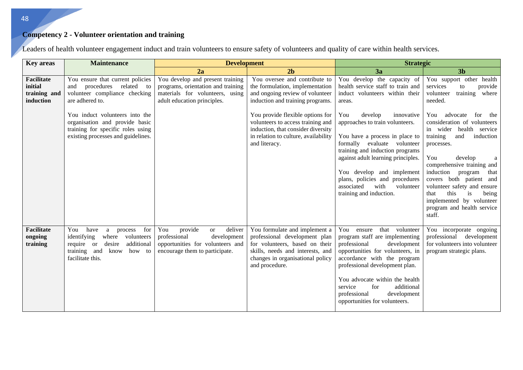## **Competency 2 - Volunteer orientation and training**

| <b>Key areas</b>                                          | <b>Maintenance</b>                                                                                                                                                              | <b>Development</b>                                                                                                                          |                                                                                                                                                                                            | <b>Strategic</b>                                                                                                                                                                                                                                                                                                                        |                                                                                                                                                                                                                                                                                                                                                                                         |  |
|-----------------------------------------------------------|---------------------------------------------------------------------------------------------------------------------------------------------------------------------------------|---------------------------------------------------------------------------------------------------------------------------------------------|--------------------------------------------------------------------------------------------------------------------------------------------------------------------------------------------|-----------------------------------------------------------------------------------------------------------------------------------------------------------------------------------------------------------------------------------------------------------------------------------------------------------------------------------------|-----------------------------------------------------------------------------------------------------------------------------------------------------------------------------------------------------------------------------------------------------------------------------------------------------------------------------------------------------------------------------------------|--|
|                                                           |                                                                                                                                                                                 | 2a                                                                                                                                          | 2 <sub>b</sub>                                                                                                                                                                             | 3a                                                                                                                                                                                                                                                                                                                                      | 3 <sub>b</sub>                                                                                                                                                                                                                                                                                                                                                                          |  |
| <b>Facilitate</b><br>initial<br>training and<br>induction | You ensure that current policies<br>procedures<br>related to<br>and<br>volunteer compliance checking<br>are adhered to.                                                         | You develop and present training<br>programs, orientation and training<br>materials for volunteers, using<br>adult education principles.    | You oversee and contribute to<br>the formulation, implementation<br>and ongoing review of volunteer<br>induction and training programs.                                                    | You develop the capacity of<br>health service staff to train and<br>induct volunteers within their<br>areas.                                                                                                                                                                                                                            | You support other health<br>services<br>provide<br>to<br>training where<br>volunteer<br>needed.                                                                                                                                                                                                                                                                                         |  |
|                                                           | You induct volunteers into the<br>organisation and provide basic<br>training for specific roles using<br>existing processes and guidelines.                                     |                                                                                                                                             | You provide flexible options for<br>volunteers to access training and<br>induction, that consider diversity<br>in relation to culture, availability<br>and literacy.                       | You<br>develop<br>innovative<br>approaches to train volunteers.<br>You have a process in place to<br>formally evaluate volunteer<br>training and induction programs<br>against adult learning principles.<br>You develop and implement<br>plans, policies and procedures<br>associated<br>with<br>volunteer<br>training and induction.  | You<br>advocate<br>for the<br>consideration of volunteers<br>in wider<br>health<br>service<br>training<br>induction<br>and<br>processes.<br>You<br>develop<br>a<br>comprehensive training and<br>induction program<br>that<br>covers both patient and<br>volunteer safety and ensure<br>this<br>that<br>is<br>being<br>implemented by volunteer<br>program and health service<br>staff. |  |
| <b>Facilitate</b><br>ongoing<br>training                  | You<br>have<br>for<br>process<br>$\mathbf{a}$<br>identifying<br>where<br>volunteers<br>require or<br>additional<br>desire<br>training and<br>know<br>how to<br>facilitate this. | You<br>provide<br>deliver<br><b>or</b><br>professional<br>development<br>opportunities for volunteers and<br>encourage them to participate. | You formulate and implement a<br>professional development plan<br>for volunteers, based on their<br>skills, needs and interests, and<br>changes in organisational policy<br>and procedure. | that<br>You ensure<br>volunteer<br>program staff are implementing<br>professional<br>development<br>opportunities for volunteers, in<br>accordance with the program<br>professional development plan.<br>You advocate within the health<br>service<br>for<br>additional<br>professional<br>development<br>opportunities for volunteers. | You incorporate ongoing<br>professional<br>development<br>for volunteers into volunteer<br>program strategic plans.                                                                                                                                                                                                                                                                     |  |

Leaders of health volunteer engagement induct and train volunteers to ensure safety of volunteers and quality of care within health services.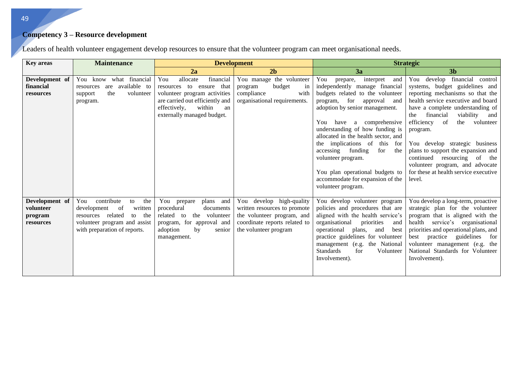# **Competency 3 – Resource development**

Leaders of health volunteer engagement develop resources to ensure that the volunteer program can meet organisational needs.

| <b>Key areas</b>                                    | <b>Maintenance</b>                                                                                                                                                  |                                                                                                                                                                                           | <b>Development</b>                                                                                                                               | <b>Strategic</b>                                                                                                                                                                                                                                                                                                                                                                                                                                                              |                                                                                                                                                                                                                                                                                                                                                                                                                                                                                      |  |
|-----------------------------------------------------|---------------------------------------------------------------------------------------------------------------------------------------------------------------------|-------------------------------------------------------------------------------------------------------------------------------------------------------------------------------------------|--------------------------------------------------------------------------------------------------------------------------------------------------|-------------------------------------------------------------------------------------------------------------------------------------------------------------------------------------------------------------------------------------------------------------------------------------------------------------------------------------------------------------------------------------------------------------------------------------------------------------------------------|--------------------------------------------------------------------------------------------------------------------------------------------------------------------------------------------------------------------------------------------------------------------------------------------------------------------------------------------------------------------------------------------------------------------------------------------------------------------------------------|--|
|                                                     |                                                                                                                                                                     | 2a                                                                                                                                                                                        | 2 <sub>b</sub>                                                                                                                                   | 3a                                                                                                                                                                                                                                                                                                                                                                                                                                                                            | 3 <sub>b</sub>                                                                                                                                                                                                                                                                                                                                                                                                                                                                       |  |
| Development of<br>financial<br>resources            | You know what financial<br>available to<br>are<br>resources<br>the<br>volunteer<br>support<br>program.                                                              | You<br>allocate<br>financial<br>resources to ensure that<br>volunteer program activities<br>are carried out efficiently and<br>within<br>effectively,<br>an<br>externally managed budget. | You manage the volunteer<br>budget<br>program<br>in<br>compliance<br>with<br>organisational requirements.                                        | You<br>prepare,<br>interpret<br>and<br>independently manage financial<br>budgets related to the volunteer<br>program, for<br>approval<br>and<br>adoption by senior management.<br>You<br>have a comprehensive<br>understanding of how funding is<br>allocated in the health sector, and<br>the implications of this for<br>accessing funding<br>for<br>the<br>volunteer program.<br>You plan operational budgets to<br>accommodate for expansion of the<br>volunteer program. | You develop financial control<br>systems, budget guidelines and<br>reporting mechanisms so that the<br>health service executive and board<br>have a complete understanding of<br>financial<br>viability<br>the<br>and<br>efficiency<br>the<br><sub>of</sub><br>volunteer<br>program.<br>You develop strategic business<br>plans to support the expansion and<br>continued resourcing of<br>the<br>volunteer program, and advocate<br>for these at health service executive<br>level. |  |
| Development of<br>volunteer<br>program<br>resources | contribute<br>You<br>the<br>to<br>of<br>written<br>development<br>related<br>the<br>resources<br>to<br>volunteer program and assist<br>with preparation of reports. | plans and<br>You prepare<br>procedural<br>documents<br>related to<br>the volunteer<br>program, for approval and<br>adoption<br>by<br>senior<br>management.                                | You develop high-quality<br>written resources to promote<br>the volunteer program, and<br>coordinate reports related to<br>the volunteer program | You develop volunteer program<br>policies and procedures that are<br>aligned with the health service's<br>organisational<br>priorities<br>and<br>operational<br>and<br>plans,<br>best<br>practice guidelines for volunteer<br>management (e.g. the National<br><b>Standards</b><br>for<br>Volunteer<br>Involvement).                                                                                                                                                          | You develop a long-term, proactive<br>strategic plan for the volunteer<br>program that is aligned with the<br>health service's organisational<br>priorities and operational plans, and<br>practice guidelines<br>best<br>for<br>volunteer management (e.g. the<br>National Standards for Volunteer<br>Involvement).                                                                                                                                                                  |  |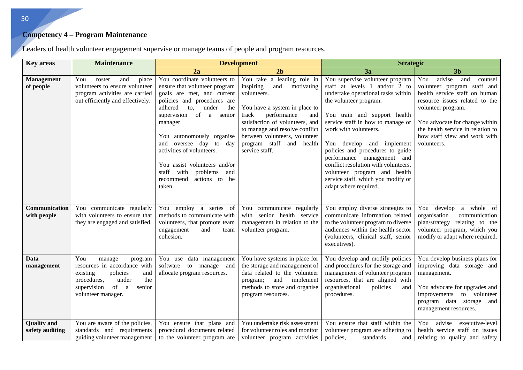#### **Competency 4 – Program Maintenance**

**Key areas** Maintenance **Development Development Strategic Strategic 2a 2b 3a 3b Management of people**  You roster and place volunteers to ensure volunteer program activities are carried out efficiently and effectively. You coordinate volunteers to ensure that volunteer program goals are met, and current policies and procedures are adhered to, under the supervision of a senior manager. You autonomously organise and oversee day to day activities of volunteers. You assist volunteers and/or staff with problems and recommend actions to be taken. You take a leading role in inspiring and motivating volunteers. You have a system in place to track performance and satisfaction of volunteers, and to manage and resolve conflict between volunteers, volunteer program staff and health service staff. You supervise volunteer program staff at levels 1 and/or 2 to undertake operational tasks within the volunteer program. You train and support health service staff in how to manage or work with volunteers. You develop and implement policies and procedures to guide performance management and conflict resolution with volunteers, volunteer program and health service staff, which you modify or adapt where required. You advise and counsel volunteer program staff and health service staff on human resource issues related to the volunteer program. You advocate for change within the health service in relation to how staff view and work with volunteers. **Communication with people**  You communicate regularly with volunteers to ensure that they are engaged and satisfied. You employ a series of methods to communicate with volunteers, that promote team engagement and team cohesion. You communicate regularly with senior health service management in relation to the volunteer program. You employ diverse strategies to communicate information related to the volunteer program to diverse audiences within the health sector (volunteers, clinical staff, senior executives). You develop a whole of organisation communication plan/strategy relating to the volunteer program, which you modify or adapt where required. **Data management**  You manage program resources in accordance with existing policies and procedures, under the supervision of a senior volunteer manager. You use data management software to manage and allocate program resources. You have systems in place for the storage and management of data related to the volunteer program; and implement methods to store and organise program resources. You develop and modify policies and procedures for the storage and management of volunteer program resources, that are aligned with organisational policies and procedures. You develop business plans for improving data storage and management. You advocate for upgrades and improvements to volunteer program data storage and management resources. **Quality and safety auditing**  You are aware of the policies, standards and requirements guiding volunteer management You ensure that plans and procedural documents related to the volunteer program are You undertake risk assessment for volunteer roles and monitor volunteer program activities You ensure that staff within the volunteer program are adhering to policies, standards and You advise executive-level health service staff on issues relating to quality and safety

Leaders of health volunteer engagement supervise or manage teams of people and program resources.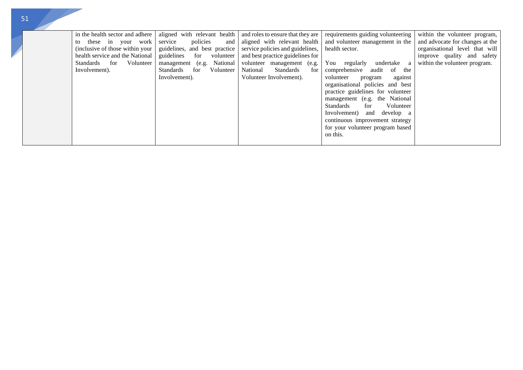| in the health sector and adhere<br>these in your work<br>to<br>(inclusive of those within your)<br>health service and the National<br>Standards<br>for<br>Involvement). | aligned with relevant health<br>policies<br>service<br>and  <br>guidelines, and best practice<br>guidelines<br>for volunteer<br>Volunteer<br>management (e.g. National<br><b>Standards</b><br>for<br>Volunteer<br>Involvement). | and roles to ensure that they are<br>aligned with relevant health<br>service policies and guidelines,<br>and best practice guidelines for<br>volunteer management (e.g.<br>National<br>Standards<br>for<br>Volunteer Involvement). | requirements guiding volunteering<br>and volunteer management in the<br>health sector.<br>You<br>regularly<br>undertake<br>a<br>comprehensive audit of<br>the<br>volunteer<br>program<br>against<br>organisational policies and best<br>practice guidelines for volunteer<br>management (e.g. the National<br>Volunteer<br>Standards<br>for<br>Involvement) and<br>develop a<br>continuous improvement strategy<br>for your volunteer program based | within the volunteer program,<br>and advocate for changes at the<br>organisational level that will<br>improve quality and safety<br>within the volunteer program. |
|-------------------------------------------------------------------------------------------------------------------------------------------------------------------------|---------------------------------------------------------------------------------------------------------------------------------------------------------------------------------------------------------------------------------|------------------------------------------------------------------------------------------------------------------------------------------------------------------------------------------------------------------------------------|-----------------------------------------------------------------------------------------------------------------------------------------------------------------------------------------------------------------------------------------------------------------------------------------------------------------------------------------------------------------------------------------------------------------------------------------------------|-------------------------------------------------------------------------------------------------------------------------------------------------------------------|
|-------------------------------------------------------------------------------------------------------------------------------------------------------------------------|---------------------------------------------------------------------------------------------------------------------------------------------------------------------------------------------------------------------------------|------------------------------------------------------------------------------------------------------------------------------------------------------------------------------------------------------------------------------------|-----------------------------------------------------------------------------------------------------------------------------------------------------------------------------------------------------------------------------------------------------------------------------------------------------------------------------------------------------------------------------------------------------------------------------------------------------|-------------------------------------------------------------------------------------------------------------------------------------------------------------------|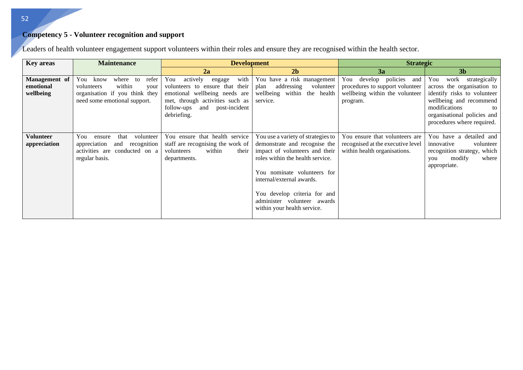## **Competency 5 - Volunteer recognition and support**

| <b>Key areas</b>                        | <b>Maintenance</b>                                                                                                                 | <b>Development</b>                                                                                                                                                                            |                                                                                                                                                                                                                                                                                                     | <b>Strategic</b>                                                                                             |                                                                                                                                                                                                          |
|-----------------------------------------|------------------------------------------------------------------------------------------------------------------------------------|-----------------------------------------------------------------------------------------------------------------------------------------------------------------------------------------------|-----------------------------------------------------------------------------------------------------------------------------------------------------------------------------------------------------------------------------------------------------------------------------------------------------|--------------------------------------------------------------------------------------------------------------|----------------------------------------------------------------------------------------------------------------------------------------------------------------------------------------------------------|
|                                         |                                                                                                                                    | 2a                                                                                                                                                                                            | 2 <sub>b</sub>                                                                                                                                                                                                                                                                                      | 3a                                                                                                           | 3 <sub>b</sub>                                                                                                                                                                                           |
| Management of<br>emotional<br>wellbeing | refer<br>You<br>where to<br>know<br>within<br>volunteers<br>your<br>organisation if you think they<br>need some emotional support. | with<br>You<br>actively<br>engage<br>ensure that their<br>volunteers to<br>emotional wellbeing needs are<br>met, through activities such as<br>and post-incident<br>follow-ups<br>debriefing. | You have a risk management<br>addressing<br>volunteer<br>plan<br>wellbeing within<br>the health<br>service.                                                                                                                                                                                         | You develop policies<br>and<br>procedures to support volunteer<br>wellbeing within the volunteer<br>program. | work<br>You<br>strategically<br>across the organisation to<br>identify risks to volunteer<br>wellbeing and recommend<br>modifications<br>to<br>organisational policies and<br>procedures where required. |
| <b>Volunteer</b><br>appreciation        | You<br>that<br>volunteer<br>ensure<br>recognition<br>appreciation<br>and<br>activities are conducted on a<br>regular basis.        | You ensure that health service<br>staff are recognising the work of<br>within<br>their<br>volunteers<br>departments.                                                                          | You use a variety of strategies to<br>demonstrate and recognise the<br>impact of volunteers and their<br>roles within the health service.<br>You nominate volunteers for<br>internal/external awards.<br>You develop criteria for and<br>administer volunteer awards<br>within your health service. | You ensure that volunteers are<br>recognised at the executive level<br>within health organisations.          | You have a detailed and<br>volunteer<br>innovative<br>recognition strategy, which<br>modify<br>where<br>you<br>appropriate.                                                                              |

Leaders of health volunteer engagement support volunteers within their roles and ensure they are recognised within the health sector.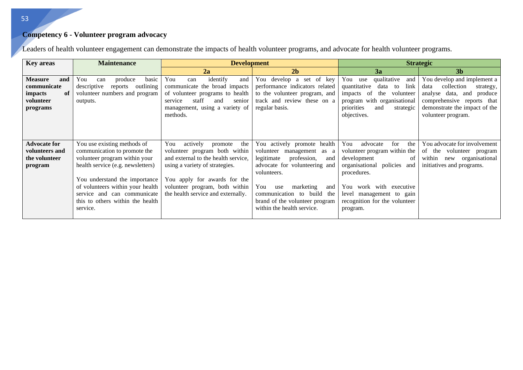## **Competency 6 - Volunteer program advocacy**

| <b>Key areas</b>                                                               | <b>Maintenance</b>                                                                                                                                                                                                                                                                    | <b>Development</b>                                                                                                                                                                                                                                  |                                                                                                                                                                                                                                                                                 | <b>Strategic</b>                                                                                                                                                                                                                        |                                                                                                                                                                                        |  |
|--------------------------------------------------------------------------------|---------------------------------------------------------------------------------------------------------------------------------------------------------------------------------------------------------------------------------------------------------------------------------------|-----------------------------------------------------------------------------------------------------------------------------------------------------------------------------------------------------------------------------------------------------|---------------------------------------------------------------------------------------------------------------------------------------------------------------------------------------------------------------------------------------------------------------------------------|-----------------------------------------------------------------------------------------------------------------------------------------------------------------------------------------------------------------------------------------|----------------------------------------------------------------------------------------------------------------------------------------------------------------------------------------|--|
|                                                                                |                                                                                                                                                                                                                                                                                       | 2a                                                                                                                                                                                                                                                  | 2 <sub>b</sub>                                                                                                                                                                                                                                                                  | 3a                                                                                                                                                                                                                                      | 3 <sub>b</sub>                                                                                                                                                                         |  |
| <b>Measure</b><br>and<br>communicate<br>impacts<br>of<br>volunteer<br>programs | You<br>produce<br>basic<br>can<br>outlining<br>descriptive<br>reports<br>volunteer numbers and program<br>outputs.                                                                                                                                                                    | identify<br>You<br>and<br>can<br>communicate the broad impacts<br>of volunteer programs to health<br>staff<br>and<br>senior<br>service<br>management, using a variety of<br>methods.                                                                | You develop a set of key<br>performance indicators related<br>to the volunteer program, and<br>track and review these on a<br>regular basis.                                                                                                                                    | qualitative<br>You use<br>and<br>link<br>quantitative<br>data<br>to<br>the<br>impacts<br>-of<br>volunteer<br>program with organisational<br>priorities<br>and<br>strategic<br>objectives.                                               | You develop and implement a<br>collection<br>data<br>strategy,<br>analyse data,<br>and<br>produce<br>comprehensive reports that<br>demonstrate the impact of the<br>volunteer program. |  |
| <b>Advocate for</b><br>volunteers and<br>the volunteer<br>program              | You use existing methods of<br>communication to promote the<br>volunteer program within your<br>health service (e.g. newsletters)<br>You understand the importance<br>of volunteers within your health<br>service and can communicate<br>this to others within the health<br>service. | the<br>actively<br>You<br>promote<br>volunteer program both within<br>and external to the health service,<br>using a variety of strategies.<br>You apply for awards for the<br>volunteer program, both within<br>the health service and externally. | You actively promote health<br>volunteer management as a<br>legitimate<br>profession,<br>and<br>advocate for volunteering and<br>volunteers.<br>marketing<br>You<br>use<br>and<br>communication to build<br>the<br>brand of the volunteer program<br>within the health service. | advocate<br>for<br>the<br>You<br>volunteer program within the<br>development<br>οf<br>policies and<br>organisational<br>procedures.<br>You work with executive<br>level management to gain<br>recognition for the volunteer<br>program. | You advocate for involvement<br>of the volunteer program<br>organisational<br>within<br>new<br>initiatives and programs.                                                               |  |

Leaders of health volunteer engagement can demonstrate the impacts of health volunteer programs, and advocate for health volunteer programs.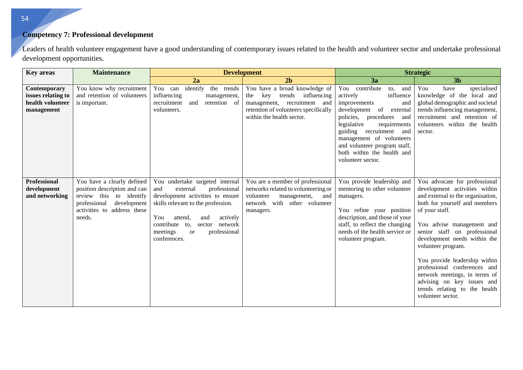## **Competency 7: Professional development**

Leaders of health volunteer engagement have a good understanding of contemporary issues related to the health and volunteer sector and undertake professional development opportunities.

| <b>Key areas</b>                                                     | <b>Maintenance</b>                                                                                                                                            | <b>Development</b>                                                                                                                                                                                                                                                         |                                                                                                                                                                          |                                                                                                                                                                                                                                                                                                                       | <b>Strategic</b>                                                                                                                                                                                                                                                                                                                                                                                                                                                |
|----------------------------------------------------------------------|---------------------------------------------------------------------------------------------------------------------------------------------------------------|----------------------------------------------------------------------------------------------------------------------------------------------------------------------------------------------------------------------------------------------------------------------------|--------------------------------------------------------------------------------------------------------------------------------------------------------------------------|-----------------------------------------------------------------------------------------------------------------------------------------------------------------------------------------------------------------------------------------------------------------------------------------------------------------------|-----------------------------------------------------------------------------------------------------------------------------------------------------------------------------------------------------------------------------------------------------------------------------------------------------------------------------------------------------------------------------------------------------------------------------------------------------------------|
|                                                                      |                                                                                                                                                               | 2a                                                                                                                                                                                                                                                                         | 2 <sub>b</sub>                                                                                                                                                           | 3a                                                                                                                                                                                                                                                                                                                    | 3 <sub>b</sub>                                                                                                                                                                                                                                                                                                                                                                                                                                                  |
| Contemporary<br>issues relating to<br>health volunteer<br>management | You know why recruitment<br>and retention of volunteers<br>is important.                                                                                      | You can identify<br>the trends<br>influencing<br>management,<br>retention of<br>recruitment<br>and<br>volunteers.                                                                                                                                                          | You have a broad knowledge of<br>key<br>trends<br>influencing<br>the<br>management, recruitment and<br>retention of volunteers specifically<br>within the health sector. | You contribute<br>to,<br>and<br>actively<br>influence<br>improvements<br>and<br>of<br>development<br>external<br>policies, procedures and<br>legislative<br>requirements<br>guiding recruitment<br>and<br>management of volunteers<br>and volunteer program staff,<br>both within the health and<br>volunteer sector. | You<br>specialised<br>have<br>knowledge of the local and<br>global demographic and societal<br>trends influencing management,<br>recruitment and retention of<br>volunteers within the health<br>sector.                                                                                                                                                                                                                                                        |
| <b>Professional</b><br>development<br>and networking                 | You have a clearly defined<br>position description and can<br>review this to identify<br>development<br>professional<br>activities to address these<br>needs. | You undertake targeted internal<br>professional<br>external<br>and<br>development activities to ensure<br>skills relevant to the profession.<br>actively<br>You<br>attend,<br>and<br>contribute to,<br>network<br>sector<br>meetings<br>professional<br>or<br>conferences. | You are a member of professional<br>networks related to volunteering or<br>volunteer<br>management,<br>and<br>network with<br>other volunteer<br>managers.               | You provide leadership and<br>mentoring to other volunteer<br>managers.<br>You refine your position<br>description, and those of your<br>staff, to reflect the changing<br>needs of the health service or<br>volunteer program.                                                                                       | You advocate for professional<br>development activities within<br>and external to the organisation,<br>both for yourself and members<br>of your staff.<br>You advise management and<br>senior staff on professional<br>development needs within the<br>volunteer program.<br>You provide leadership within<br>professional conferences and<br>network meetings, in terms of<br>advising on key issues and<br>trends relating to the health<br>volunteer sector. |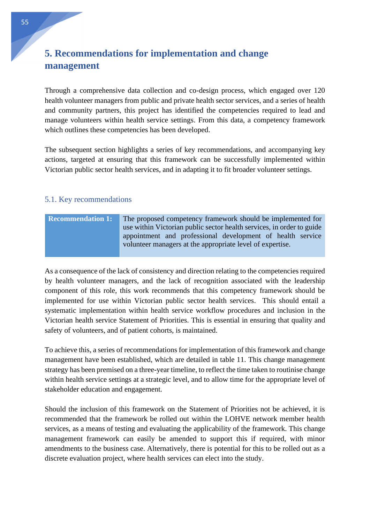# <span id="page-55-0"></span>**5. Recommendations for implementation and change management**

Through a comprehensive data collection and co-design process, which engaged over 120 health volunteer managers from public and private health sector services, and a series of health and community partners, this project has identified the competencies required to lead and manage volunteers within health service settings. From this data, a competency framework which outlines these competencies has been developed.

The subsequent section highlights a series of key recommendations, and accompanying key actions, targeted at ensuring that this framework can be successfully implemented within Victorian public sector health services, and in adapting it to fit broader volunteer settings.

## <span id="page-55-1"></span>5.1. Key recommendations

| <b>Recommendation 1:</b> | The proposed competency framework should be implemented for           |
|--------------------------|-----------------------------------------------------------------------|
|                          | use within Victorian public sector health services, in order to guide |
|                          | appointment and professional development of health service            |
|                          | volunteer managers at the appropriate level of expertise.             |

As a consequence of the lack of consistency and direction relating to the competencies required by health volunteer managers, and the lack of recognition associated with the leadership component of this role, this work recommends that this competency framework should be implemented for use within Victorian public sector health services. This should entail a systematic implementation within health service workflow procedures and inclusion in the Victorian health service Statement of Priorities. This is essential in ensuring that quality and safety of volunteers, and of patient cohorts, is maintained.

To achieve this, a series of recommendations for implementation of this framework and change management have been established, which are detailed in table 11. This change management strategy has been premised on a three-year timeline, to reflect the time taken to routinise change within health service settings at a strategic level, and to allow time for the appropriate level of stakeholder education and engagement.

Should the inclusion of this framework on the Statement of Priorities not be achieved, it is recommended that the framework be rolled out within the LOHVE network member health services, as a means of testing and evaluating the applicability of the framework. This change management framework can easily be amended to support this if required, with minor amendments to the business case. Alternatively, there is potential for this to be rolled out as a discrete evaluation project, where health services can elect into the study.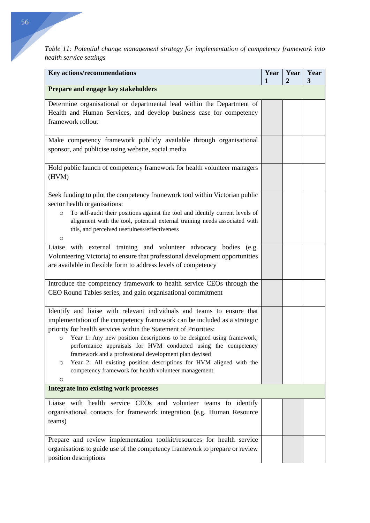*Table 11: Potential change management strategy for implementation of competency framework into health service settings* 

| Key actions/recommendations                                                                                                                                                                                                                                                                                                                                                                                                                                                                                                                                                    | Year<br>1 | Year<br>2 | Year<br>3 |
|--------------------------------------------------------------------------------------------------------------------------------------------------------------------------------------------------------------------------------------------------------------------------------------------------------------------------------------------------------------------------------------------------------------------------------------------------------------------------------------------------------------------------------------------------------------------------------|-----------|-----------|-----------|
| Prepare and engage key stakeholders                                                                                                                                                                                                                                                                                                                                                                                                                                                                                                                                            |           |           |           |
| Determine organisational or departmental lead within the Department of<br>Health and Human Services, and develop business case for competency<br>framework rollout                                                                                                                                                                                                                                                                                                                                                                                                             |           |           |           |
| Make competency framework publicly available through organisational<br>sponsor, and publicise using website, social media                                                                                                                                                                                                                                                                                                                                                                                                                                                      |           |           |           |
| Hold public launch of competency framework for health volunteer managers<br>(HVM)                                                                                                                                                                                                                                                                                                                                                                                                                                                                                              |           |           |           |
| Seek funding to pilot the competency framework tool within Victorian public<br>sector health organisations:<br>To self-audit their positions against the tool and identify current levels of<br>$\circ$<br>alignment with the tool, potential external training needs associated with<br>this, and perceived usefulness/effectiveness<br>O                                                                                                                                                                                                                                     |           |           |           |
| Liaise with external training and volunteer advocacy bodies (e.g.<br>Volunteering Victoria) to ensure that professional development opportunities<br>are available in flexible form to address levels of competency                                                                                                                                                                                                                                                                                                                                                            |           |           |           |
| Introduce the competency framework to health service CEOs through the<br>CEO Round Tables series, and gain organisational commitment                                                                                                                                                                                                                                                                                                                                                                                                                                           |           |           |           |
| Identify and liaise with relevant individuals and teams to ensure that<br>implementation of the competency framework can be included as a strategic<br>priority for health services within the Statement of Priorities:<br>Year 1: Any new position descriptions to be designed using framework;<br>$\circ$<br>performance appraisals for HVM conducted using the competency<br>framework and a professional development plan devised<br>Year 2: All existing position descriptions for HVM aligned with the<br>O<br>competency framework for health volunteer management<br>O |           |           |           |
| <b>Integrate into existing work processes</b>                                                                                                                                                                                                                                                                                                                                                                                                                                                                                                                                  |           |           |           |
| Liaise with health service CEOs and volunteer teams to identify<br>organisational contacts for framework integration (e.g. Human Resource<br>teams)                                                                                                                                                                                                                                                                                                                                                                                                                            |           |           |           |
| Prepare and review implementation toolkit/resources for health service<br>organisations to guide use of the competency framework to prepare or review<br>position descriptions                                                                                                                                                                                                                                                                                                                                                                                                 |           |           |           |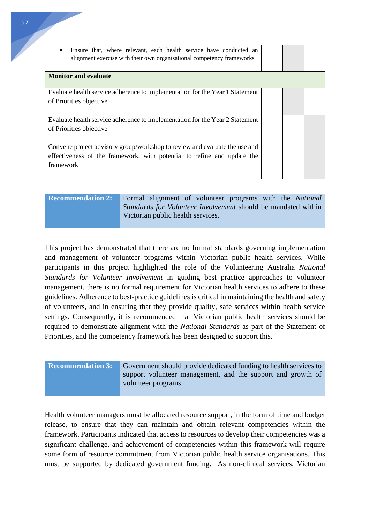| Ensure that, where relevant, each health service have conducted an<br>$\bullet$<br>alignment exercise with their own organisational competency frameworks          |  |  |
|--------------------------------------------------------------------------------------------------------------------------------------------------------------------|--|--|
| <b>Monitor and evaluate</b>                                                                                                                                        |  |  |
| Evaluate health service adherence to implementation for the Year 1 Statement<br>of Priorities objective                                                            |  |  |
| Evaluate health service adherence to implementation for the Year 2 Statement<br>of Priorities objective                                                            |  |  |
| Convene project advisory group/workshop to review and evaluate the use and<br>effectiveness of the framework, with potential to refine and update the<br>framework |  |  |

| <b>Recommendation 2:</b> |  |
|--------------------------|--|
|--------------------------|--|

Formal alignment of volunteer programs with the *National Standards for Volunteer Involvement* should be mandated within Victorian public health services.

This project has demonstrated that there are no formal standards governing implementation and management of volunteer programs within Victorian public health services. While participants in this project highlighted the role of the Volunteering Australia *National Standards for Volunteer Involvement* in guiding best practice approaches to volunteer management, there is no formal requirement for Victorian health services to adhere to these guidelines. Adherence to best-practice guidelines is critical in maintaining the health and safety of volunteers, and in ensuring that they provide quality, safe services within health service settings. Consequently, it is recommended that Victorian public health services should be required to demonstrate alignment with the *National Standards* as part of the Statement of Priorities, and the competency framework has been designed to support this.

| <b>Recommendation 3:</b> Government should provide dedicated funding to health services to |
|--------------------------------------------------------------------------------------------|
| support volunteer management, and the support and growth of<br>volunteer programs.         |

Health volunteer managers must be allocated resource support, in the form of time and budget release, to ensure that they can maintain and obtain relevant competencies within the framework. Participants indicated that access to resources to develop their competencies was a significant challenge, and achievement of competencies within this framework will require some form of resource commitment from Victorian public health service organisations. This must be supported by dedicated government funding. As non-clinical services, Victorian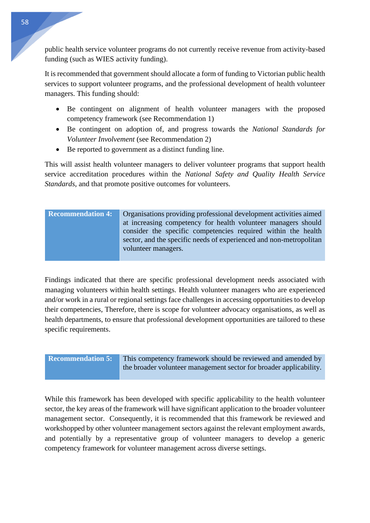public health service volunteer programs do not currently receive revenue from activity-based funding (such as WIES activity funding).

It is recommended that government should allocate a form of funding to Victorian public health services to support volunteer programs, and the professional development of health volunteer managers. This funding should:

- Be contingent on alignment of health volunteer managers with the proposed competency framework (see Recommendation 1)
- Be contingent on adoption of, and progress towards the *National Standards for Volunteer Involvement* (see Recommendation 2)
- Be reported to government as a distinct funding line.

This will assist health volunteer managers to deliver volunteer programs that support health service accreditation procedures within the *National Safety and Quality Health Service Standards*, and that promote positive outcomes for volunteers.

| <b>Recommendation 4:</b> | Organisations providing professional development activities aimed  |
|--------------------------|--------------------------------------------------------------------|
|                          | at increasing competency for health volunteer managers should      |
|                          | consider the specific competencies required within the health      |
|                          | sector, and the specific needs of experienced and non-metropolitan |
|                          | volunteer managers.                                                |
|                          |                                                                    |

Findings indicated that there are specific professional development needs associated with managing volunteers within health settings. Health volunteer managers who are experienced and/or work in a rural or regional settings face challenges in accessing opportunities to develop their competencies, Therefore, there is scope for volunteer advocacy organisations, as well as health departments, to ensure that professional development opportunities are tailored to these specific requirements.

**Recommendation 5:** This competency framework should be reviewed and amended by the broader volunteer management sector for broader applicability.

While this framework has been developed with specific applicability to the health volunteer sector, the key areas of the framework will have significant application to the broader volunteer management sector. Consequently, it is recommended that this framework be reviewed and workshopped by other volunteer management sectors against the relevant employment awards, and potentially by a representative group of volunteer managers to develop a generic competency framework for volunteer management across diverse settings.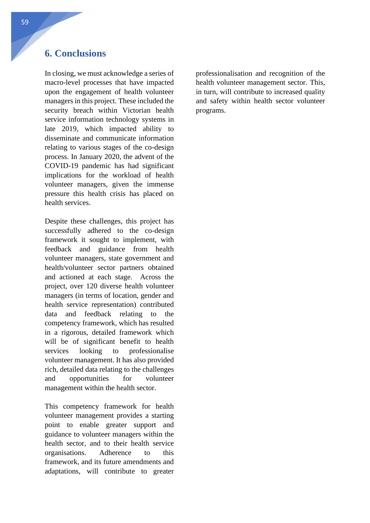## <span id="page-59-0"></span>**6. Conclusions**

In closing, we must acknowledge a series of macro-level processes that have impacted upon the engagement of health volunteer managers in this project. These included the security breach within Victorian health service information technology systems in late 2019, which impacted ability to disseminate and communicate information relating to various stages of the co-design process. In January 2020, the advent of the COVID-19 pandemic has had significant implications for the workload of health volunteer managers, given the immense pressure this health crisis has placed on health services.

Despite these challenges, this project has successfully adhered to the co-design framework it sought to implement, with feedback and guidance from health volunteer managers, state government and health/volunteer sector partners obtained and actioned at each stage. Across the project, over 120 diverse health volunteer managers (in terms of location, gender and health service representation) contributed data and feedback relating to the competency framework, which has resulted in a rigorous, detailed framework which will be of significant benefit to health services looking to professionalise volunteer management. It has also provided rich, detailed data relating to the challenges and opportunities for volunteer management within the health sector.

This competency framework for health volunteer management provides a starting point to enable greater support and guidance to volunteer managers within the health sector, and to their health service organisations. Adherence to this framework, and its future amendments and adaptations, will contribute to greater

professionalisation and recognition of the health volunteer management sector. This, in turn, will contribute to increased quality and safety within health sector volunteer programs.